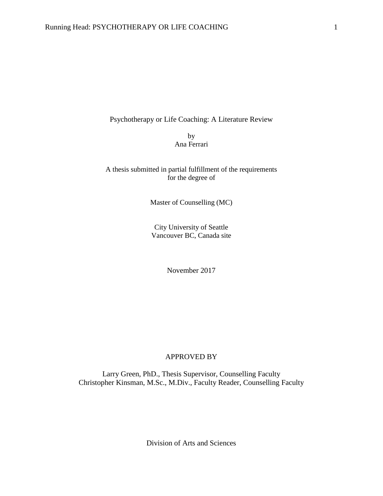Psychotherapy or Life Coaching: A Literature Review

by Ana Ferrari

## A thesis submitted in partial fulfillment of the requirements for the degree of

Master of Counselling (MC)

City University of Seattle Vancouver BC, Canada site

November 2017

## APPROVED BY

Larry Green, PhD., Thesis Supervisor, Counselling Faculty Christopher Kinsman, M.Sc., M.Div., Faculty Reader, Counselling Faculty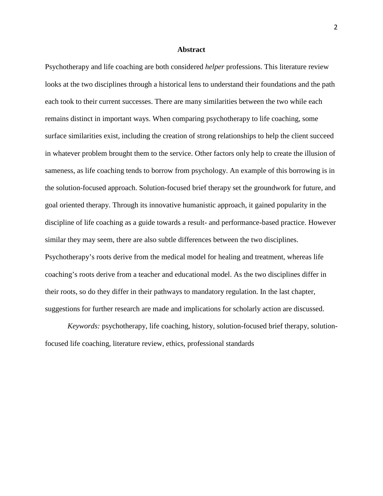## **Abstract**

Psychotherapy and life coaching are both considered *helper* professions. This literature review looks at the two disciplines through a historical lens to understand their foundations and the path each took to their current successes. There are many similarities between the two while each remains distinct in important ways. When comparing psychotherapy to life coaching, some surface similarities exist, including the creation of strong relationships to help the client succeed in whatever problem brought them to the service. Other factors only help to create the illusion of sameness, as life coaching tends to borrow from psychology. An example of this borrowing is in the solution-focused approach. Solution-focused brief therapy set the groundwork for future, and goal oriented therapy. Through its innovative humanistic approach, it gained popularity in the discipline of life coaching as a guide towards a result- and performance-based practice. However similar they may seem, there are also subtle differences between the two disciplines. Psychotherapy's roots derive from the medical model for healing and treatment, whereas life coaching's roots derive from a teacher and educational model. As the two disciplines differ in their roots, so do they differ in their pathways to mandatory regulation. In the last chapter, suggestions for further research are made and implications for scholarly action are discussed.

*Keywords:* psychotherapy, life coaching, history, solution-focused brief therapy, solutionfocused life coaching, literature review, ethics, professional standards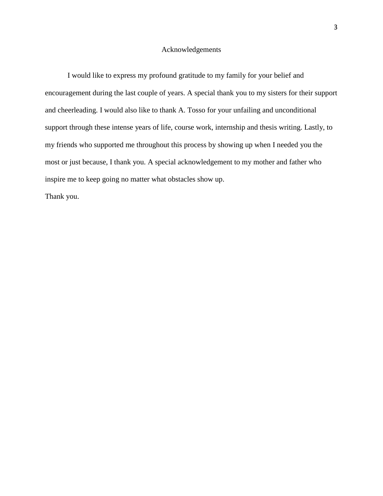## Acknowledgements

I would like to express my profound gratitude to my family for your belief and encouragement during the last couple of years. A special thank you to my sisters for their support and cheerleading. I would also like to thank A. Tosso for your unfailing and unconditional support through these intense years of life, course work, internship and thesis writing. Lastly, to my friends who supported me throughout this process by showing up when I needed you the most or just because, I thank you. A special acknowledgement to my mother and father who inspire me to keep going no matter what obstacles show up.

Thank you.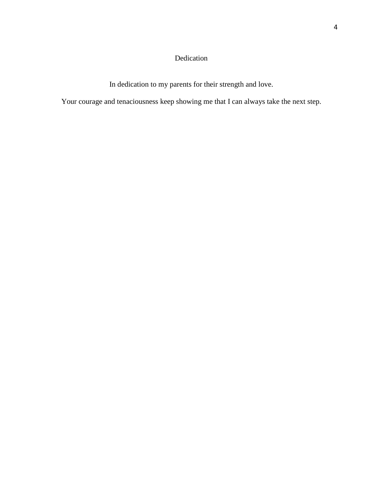# Dedication

In dedication to my parents for their strength and love.

Your courage and tenaciousness keep showing me that I can always take the next step.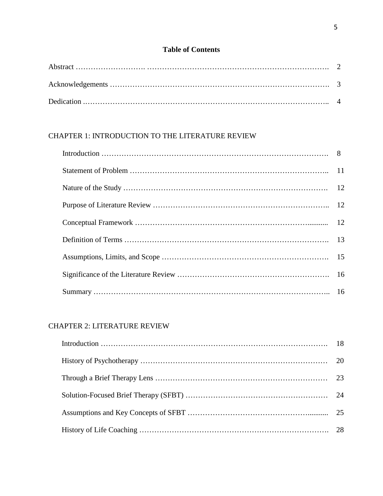# **Table of Contents**

# CHAPTER 1: INTRODUCTION TO THE LITERATURE REVIEW

# CHAPTER 2: LITERATURE REVIEW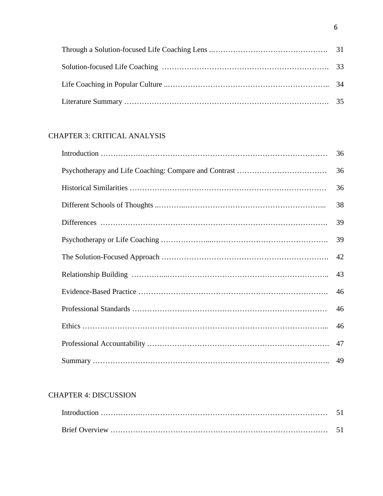# CHAPTER 3: CRITICAL ANALYSIS

| 36 |
|----|
| 36 |
| 36 |
| 38 |
| 39 |
| 39 |
| 42 |
| 43 |
| 46 |
| 46 |
| 46 |
|    |
|    |

# CHAPTER 4: DISCUSSION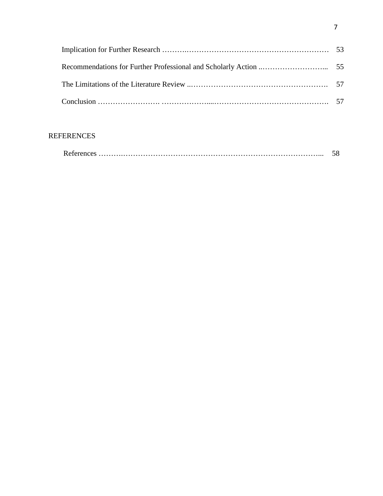# REFERENCES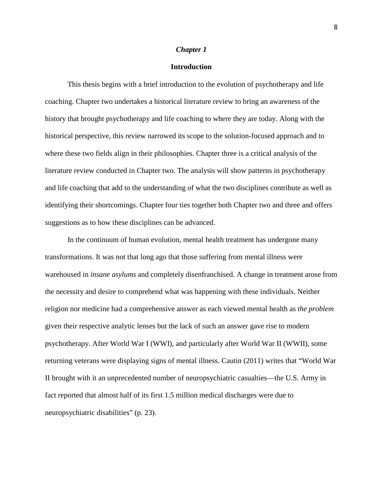#### *Chapter 1*

## **Introduction**

This thesis begins with a brief introduction to the evolution of psychotherapy and life coaching. Chapter two undertakes a historical literature review to bring an awareness of the history that brought psychotherapy and life coaching to where they are today. Along with the historical perspective, this review narrowed its scope to the solution-focused approach and to where these two fields align in their philosophies. Chapter three is a critical analysis of the literature review conducted in Chapter two. The analysis will show patterns in psychotherapy and life coaching that add to the understanding of what the two disciplines contribute as well as identifying their shortcomings. Chapter four ties together both Chapter two and three and offers suggestions as to how these disciplines can be advanced.

In the continuum of human evolution, mental health treatment has undergone many transformations. It was not that long ago that those suffering from mental illness were warehoused in *insane asylums* and completely disenfranchised. A change in treatment arose from the necessity and desire to comprehend what was happening with these individuals. Neither religion nor medicine had a comprehensive answer as each viewed mental health as *the problem* given their respective analytic lenses but the lack of such an answer gave rise to modern psychotherapy. After World War I (WWI), and particularly after World War II (WWII), some returning veterans were displaying signs of mental illness. Cautin (2011) writes that "World War II brought with it an unprecedented number of neuropsychiatric casualties—the U.S. Army in fact reported that almost half of its first 1.5 million medical discharges were due to neuropsychiatric disabilities" (p. 23).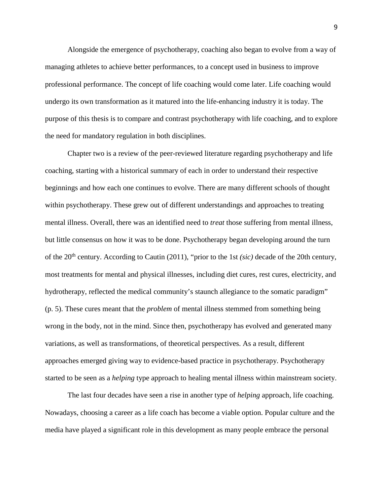Alongside the emergence of psychotherapy, coaching also began to evolve from a way of managing athletes to achieve better performances, to a concept used in business to improve professional performance. The concept of life coaching would come later. Life coaching would undergo its own transformation as it matured into the life-enhancing industry it is today. The purpose of this thesis is to compare and contrast psychotherapy with life coaching, and to explore the need for mandatory regulation in both disciplines.

Chapter two is a review of the peer-reviewed literature regarding psychotherapy and life coaching, starting with a historical summary of each in order to understand their respective beginnings and how each one continues to evolve. There are many different schools of thought within psychotherapy. These grew out of different understandings and approaches to treating mental illness. Overall, there was an identified need to *treat* those suffering from mental illness, but little consensus on how it was to be done. Psychotherapy began developing around the turn of the 20th century. According to Cautin (2011), "prior to the 1st *(sic)* decade of the 20th century, most treatments for mental and physical illnesses, including diet cures, rest cures, electricity, and hydrotherapy, reflected the medical community's staunch allegiance to the somatic paradigm" (p. 5). These cures meant that the *problem* of mental illness stemmed from something being wrong in the body, not in the mind. Since then, psychotherapy has evolved and generated many variations, as well as transformations, of theoretical perspectives. As a result, different approaches emerged giving way to evidence-based practice in psychotherapy. Psychotherapy started to be seen as a *helping* type approach to healing mental illness within mainstream society.

The last four decades have seen a rise in another type of *helping* approach, life coaching. Nowadays, choosing a career as a life coach has become a viable option. Popular culture and the media have played a significant role in this development as many people embrace the personal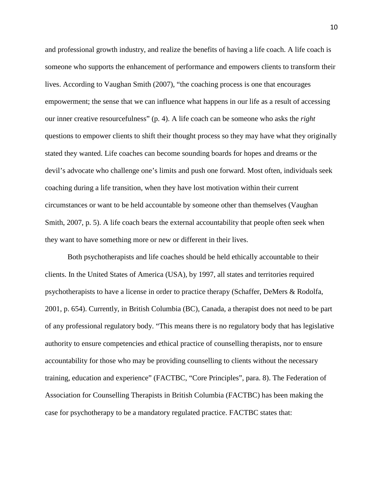and professional growth industry, and realize the benefits of having a life coach. A life coach is someone who supports the enhancement of performance and empowers clients to transform their lives. According to Vaughan Smith (2007), "the coaching process is one that encourages empowerment; the sense that we can influence what happens in our life as a result of accessing our inner creative resourcefulness" (p. 4). A life coach can be someone who asks the *right* questions to empower clients to shift their thought process so they may have what they originally stated they wanted. Life coaches can become sounding boards for hopes and dreams or the devil's advocate who challenge one's limits and push one forward. Most often, individuals seek coaching during a life transition, when they have lost motivation within their current circumstances or want to be held accountable by someone other than themselves (Vaughan Smith, 2007, p. 5). A life coach bears the external accountability that people often seek when they want to have something more or new or different in their lives.

Both psychotherapists and life coaches should be held ethically accountable to their clients. In the United States of America (USA), by 1997, all states and territories required psychotherapists to have a license in order to practice therapy (Schaffer, DeMers & Rodolfa, 2001, p. 654). Currently, in British Columbia (BC), Canada, a therapist does not need to be part of any professional regulatory body. "This means there is no regulatory body that has legislative authority to ensure competencies and ethical practice of counselling therapists, nor to ensure accountability for those who may be providing counselling to clients without the necessary training, education and experience" (FACTBC, "Core Principles", para. 8). The Federation of Association for Counselling Therapists in British Columbia (FACTBC) has been making the case for psychotherapy to be a mandatory regulated practice. FACTBC states that: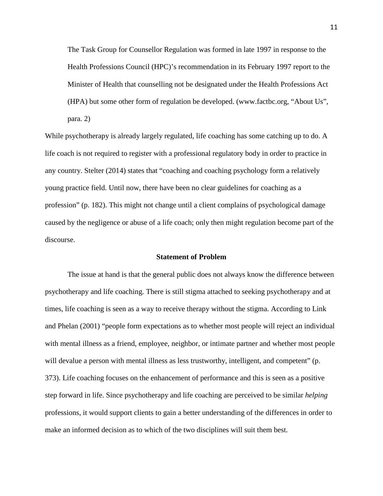The Task Group for Counsellor Regulation was formed in late 1997 in response to the Health Professions Council (HPC)'s recommendation in its February 1997 report to the Minister of Health that counselling not be designated under the Health Professions Act (HPA) but some other form of regulation be developed. (www.factbc.org, "About Us", para. 2)

While psychotherapy is already largely regulated, life coaching has some catching up to do. A life coach is not required to register with a professional regulatory body in order to practice in any country. Stelter (2014) states that "coaching and coaching psychology form a relatively young practice field. Until now, there have been no clear guidelines for coaching as a profession" (p. 182). This might not change until a client complains of psychological damage caused by the negligence or abuse of a life coach; only then might regulation become part of the discourse.

## **Statement of Problem**

The issue at hand is that the general public does not always know the difference between psychotherapy and life coaching. There is still stigma attached to seeking psychotherapy and at times, life coaching is seen as a way to receive therapy without the stigma. According to Link and Phelan (2001) "people form expectations as to whether most people will reject an individual with mental illness as a friend, employee, neighbor, or intimate partner and whether most people will devalue a person with mental illness as less trustworthy, intelligent, and competent" (p. 373). Life coaching focuses on the enhancement of performance and this is seen as a positive step forward in life. Since psychotherapy and life coaching are perceived to be similar *helping* professions, it would support clients to gain a better understanding of the differences in order to make an informed decision as to which of the two disciplines will suit them best.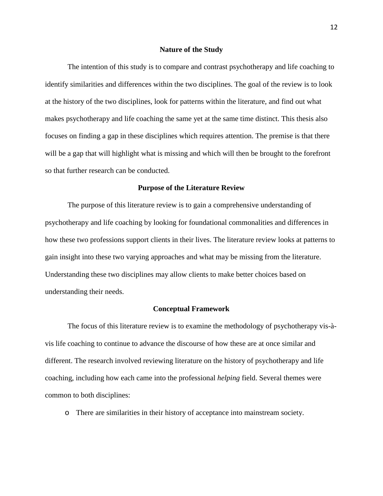#### **Nature of the Study**

The intention of this study is to compare and contrast psychotherapy and life coaching to identify similarities and differences within the two disciplines. The goal of the review is to look at the history of the two disciplines, look for patterns within the literature, and find out what makes psychotherapy and life coaching the same yet at the same time distinct. This thesis also focuses on finding a gap in these disciplines which requires attention. The premise is that there will be a gap that will highlight what is missing and which will then be brought to the forefront so that further research can be conducted.

#### **Purpose of the Literature Review**

The purpose of this literature review is to gain a comprehensive understanding of psychotherapy and life coaching by looking for foundational commonalities and differences in how these two professions support clients in their lives. The literature review looks at patterns to gain insight into these two varying approaches and what may be missing from the literature. Understanding these two disciplines may allow clients to make better choices based on understanding their needs.

#### **Conceptual Framework**

The focus of this literature review is to examine the methodology of psychotherapy vis-àvis life coaching to continue to advance the discourse of how these are at once similar and different. The research involved reviewing literature on the history of psychotherapy and life coaching, including how each came into the professional *helping* field. Several themes were common to both disciplines:

o There are similarities in their history of acceptance into mainstream society.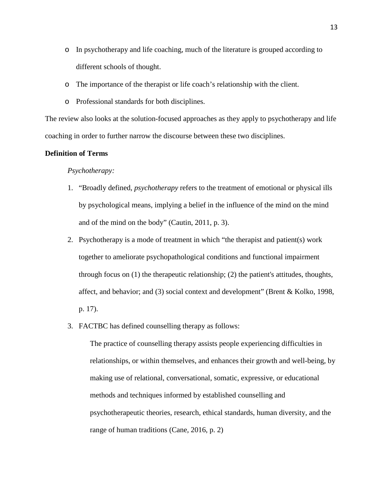- o In psychotherapy and life coaching, much of the literature is grouped according to different schools of thought.
- o The importance of the therapist or life coach's relationship with the client.
- o Professional standards for both disciplines.

The review also looks at the solution-focused approaches as they apply to psychotherapy and life coaching in order to further narrow the discourse between these two disciplines.

## **Definition of Terms**

#### *Psychotherapy:*

- 1. "Broadly defined, *psychotherapy* refers to the treatment of emotional or physical ills by psychological means, implying a belief in the influence of the mind on the mind and of the mind on the body" (Cautin, 2011, p. 3).
- 2. Psychotherapy is a mode of treatment in which "the therapist and patient(s) work together to ameliorate psychopathological conditions and functional impairment through focus on (1) the therapeutic relationship; (2) the patient's attitudes, thoughts, affect, and behavior; and (3) social context and development" (Brent & Kolko, 1998, p. 17).
- 3. FACTBC has defined counselling therapy as follows:

The practice of counselling therapy assists people experiencing difficulties in relationships, or within themselves, and enhances their growth and well-being, by making use of relational, conversational, somatic, expressive, or educational methods and techniques informed by established counselling and psychotherapeutic theories, research, ethical standards, human diversity, and the range of human traditions (Cane, 2016, p. 2)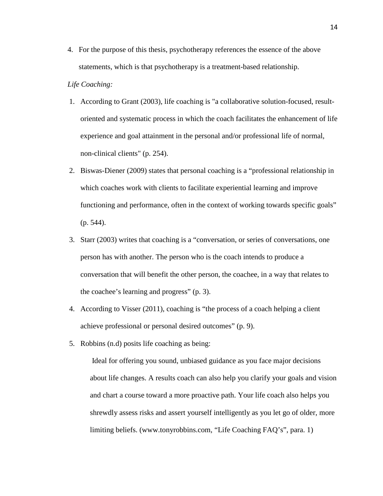4. For the purpose of this thesis, psychotherapy references the essence of the above statements, which is that psychotherapy is a treatment-based relationship.

## *Life Coaching:*

- 1. According to Grant (2003), life coaching is "a collaborative solution-focused, resultoriented and systematic process in which the coach facilitates the enhancement of life experience and goal attainment in the personal and/or professional life of normal, non-clinical clients" (p. 254).
- 2. Biswas-Diener (2009) states that personal coaching is a "professional relationship in which coaches work with clients to facilitate experiential learning and improve functioning and performance, often in the context of working towards specific goals" (p. 544).
- 3. Starr (2003) writes that coaching is a "conversation, or series of conversations, one person has with another. The person who is the coach intends to produce a conversation that will benefit the other person, the coachee, in a way that relates to the coachee's learning and progress" (p. 3).
- 4. According to Visser (2011), coaching is "the process of a coach helping a client achieve professional or personal desired outcomes" (p. 9).
- 5. Robbins (n.d) posits life coaching as being:

Ideal for offering you sound, unbiased guidance as you face major decisions about life changes. A results coach can also help you clarify your goals and vision and chart a course toward a more proactive path. Your life coach also helps you shrewdly assess risks and assert yourself intelligently as you let go of older, more limiting beliefs. (www.tonyrobbins.com, "Life Coaching FAQ's", para. 1)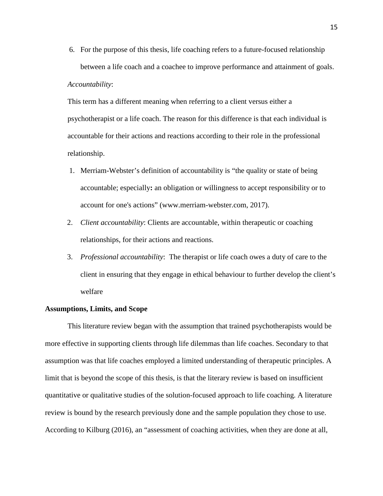6. For the purpose of this thesis, life coaching refers to a future-focused relationship between a life coach and a coachee to improve performance and attainment of goals.

## *Accountability*:

This term has a different meaning when referring to a client versus either a psychotherapist or a life coach. The reason for this difference is that each individual is accountable for their actions and reactions according to their role in the professional relationship.

- 1. Merriam-Webster's definition of accountability is "the quality or state of being accountable; especially**:** an obligation or willingness to accept responsibility or to account for one's actions" (www.merriam-webster.com, 2017).
- 2. *Client accountability*: Clients are accountable, within therapeutic or coaching relationships, for their actions and reactions.
- 3. *Professional accountability*: The therapist or life coach owes a duty of care to the client in ensuring that they engage in ethical behaviour to further develop the client's welfare

## **Assumptions, Limits, and Scope**

This literature review began with the assumption that trained psychotherapists would be more effective in supporting clients through life dilemmas than life coaches. Secondary to that assumption was that life coaches employed a limited understanding of therapeutic principles. A limit that is beyond the scope of this thesis, is that the literary review is based on insufficient quantitative or qualitative studies of the solution-focused approach to life coaching. A literature review is bound by the research previously done and the sample population they chose to use. According to Kilburg (2016), an "assessment of coaching activities, when they are done at all,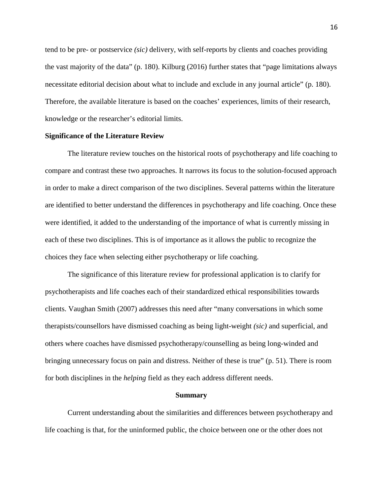tend to be pre- or postservice *(sic)* delivery, with self-reports by clients and coaches providing the vast majority of the data" (p. 180). Kilburg (2016) further states that "page limitations always necessitate editorial decision about what to include and exclude in any journal article" (p. 180). Therefore, the available literature is based on the coaches' experiences, limits of their research, knowledge or the researcher's editorial limits.

## **Significance of the Literature Review**

The literature review touches on the historical roots of psychotherapy and life coaching to compare and contrast these two approaches. It narrows its focus to the solution-focused approach in order to make a direct comparison of the two disciplines. Several patterns within the literature are identified to better understand the differences in psychotherapy and life coaching. Once these were identified, it added to the understanding of the importance of what is currently missing in each of these two disciplines. This is of importance as it allows the public to recognize the choices they face when selecting either psychotherapy or life coaching.

The significance of this literature review for professional application is to clarify for psychotherapists and life coaches each of their standardized ethical responsibilities towards clients. Vaughan Smith (2007) addresses this need after "many conversations in which some therapists/counsellors have dismissed coaching as being light-weight *(sic)* and superficial, and others where coaches have dismissed psychotherapy/counselling as being long-winded and bringing unnecessary focus on pain and distress. Neither of these is true" (p. 51). There is room for both disciplines in the *helping* field as they each address different needs.

#### **Summary**

Current understanding about the similarities and differences between psychotherapy and life coaching is that, for the uninformed public, the choice between one or the other does not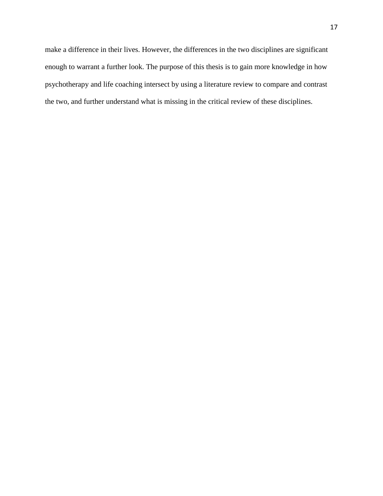make a difference in their lives. However, the differences in the two disciplines are significant enough to warrant a further look. The purpose of this thesis is to gain more knowledge in how psychotherapy and life coaching intersect by using a literature review to compare and contrast the two, and further understand what is missing in the critical review of these disciplines.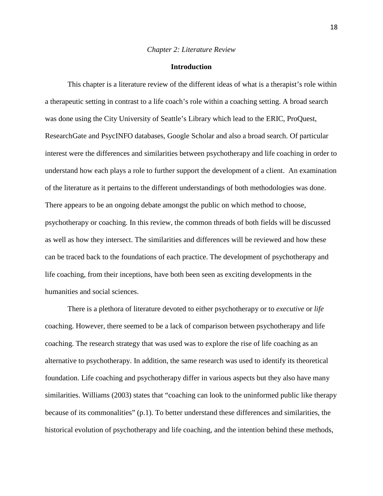#### *Chapter 2: Literature Review*

## **Introduction**

This chapter is a literature review of the different ideas of what is a therapist's role within a therapeutic setting in contrast to a life coach's role within a coaching setting. A broad search was done using the City University of Seattle's Library which lead to the ERIC, ProQuest, ResearchGate and PsycINFO databases, Google Scholar and also a broad search. Of particular interest were the differences and similarities between psychotherapy and life coaching in order to understand how each plays a role to further support the development of a client. An examination of the literature as it pertains to the different understandings of both methodologies was done. There appears to be an ongoing debate amongst the public on which method to choose, psychotherapy or coaching. In this review, the common threads of both fields will be discussed as well as how they intersect. The similarities and differences will be reviewed and how these can be traced back to the foundations of each practice. The development of psychotherapy and life coaching, from their inceptions, have both been seen as exciting developments in the humanities and social sciences.

There is a plethora of literature devoted to either psychotherapy or to *executive* or *life* coaching. However, there seemed to be a lack of comparison between psychotherapy and life coaching. The research strategy that was used was to explore the rise of life coaching as an alternative to psychotherapy. In addition, the same research was used to identify its theoretical foundation. Life coaching and psychotherapy differ in various aspects but they also have many similarities. Williams (2003) states that "coaching can look to the uninformed public like therapy because of its commonalities" (p.1). To better understand these differences and similarities, the historical evolution of psychotherapy and life coaching, and the intention behind these methods,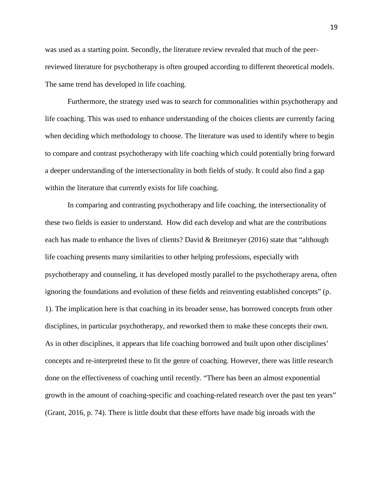was used as a starting point. Secondly, the literature review revealed that much of the peerreviewed literature for psychotherapy is often grouped according to different theoretical models. The same trend has developed in life coaching.

Furthermore, the strategy used was to search for commonalities within psychotherapy and life coaching. This was used to enhance understanding of the choices clients are currently facing when deciding which methodology to choose. The literature was used to identify where to begin to compare and contrast psychotherapy with life coaching which could potentially bring forward a deeper understanding of the intersectionality in both fields of study. It could also find a gap within the literature that currently exists for life coaching.

In comparing and contrasting psychotherapy and life coaching, the intersectionality of these two fields is easier to understand. How did each develop and what are the contributions each has made to enhance the lives of clients? David & Breitmeyer (2016) state that "although life coaching presents many similarities to other helping professions, especially with psychotherapy and counseling, it has developed mostly parallel to the psychotherapy arena, often ignoring the foundations and evolution of these fields and reinventing established concepts" (p. 1). The implication here is that coaching in its broader sense, has borrowed concepts from other disciplines, in particular psychotherapy, and reworked them to make these concepts their own. As in other disciplines, it appears that life coaching borrowed and built upon other disciplines' concepts and re-interpreted these to fit the genre of coaching. However, there was little research done on the effectiveness of coaching until recently. "There has been an almost exponential growth in the amount of coaching-specific and coaching-related research over the past ten years" (Grant, 2016, p. 74). There is little doubt that these efforts have made big inroads with the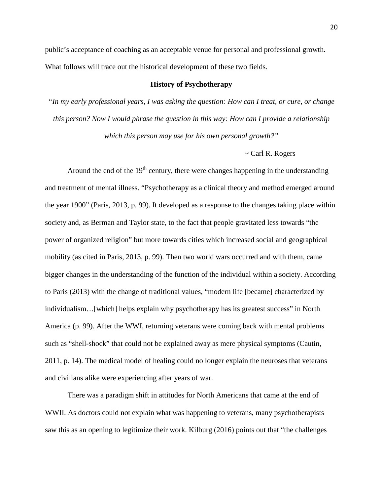public's acceptance of coaching as an acceptable venue for personal and professional growth. What follows will trace out the historical development of these two fields.

## **History of Psychotherapy**

*"In my early professional years, I was asking the question: How can I treat, or cure, or change this person? Now I would phrase the question in this way: How can I provide a relationship which this person may use for his own personal growth?"* 

## ~ Carl R. Rogers

Around the end of the  $19<sup>th</sup>$  century, there were changes happening in the understanding and treatment of mental illness. "Psychotherapy as a clinical theory and method emerged around the year 1900" (Paris, 2013, p. 99). It developed as a response to the changes taking place within society and, as Berman and Taylor state, to the fact that people gravitated less towards "the power of organized religion" but more towards cities which increased social and geographical mobility (as cited in Paris, 2013, p. 99). Then two world wars occurred and with them, came bigger changes in the understanding of the function of the individual within a society. According to Paris (2013) with the change of traditional values, "modern life [became] characterized by individualism…[which] helps explain why psychotherapy has its greatest success" in North America (p. 99). After the WWI, returning veterans were coming back with mental problems such as "shell-shock" that could not be explained away as mere physical symptoms (Cautin, 2011, p. 14). The medical model of healing could no longer explain the neuroses that veterans and civilians alike were experiencing after years of war.

There was a paradigm shift in attitudes for North Americans that came at the end of WWII. As doctors could not explain what was happening to veterans, many psychotherapists saw this as an opening to legitimize their work. Kilburg (2016) points out that "the challenges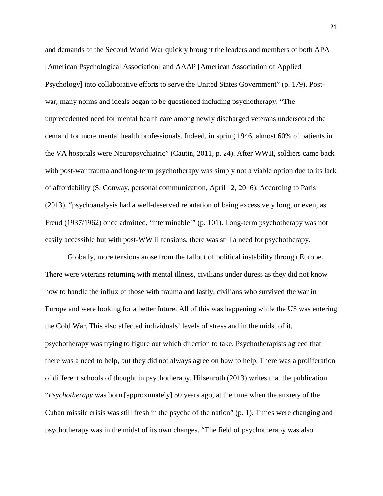and demands of the Second World War quickly brought the leaders and members of both APA [American Psychological Association] and AAAP [American Association of Applied Psychology] into collaborative efforts to serve the United States Government" (p. 179). Postwar, many norms and ideals began to be questioned including psychotherapy. "The unprecedented need for mental health care among newly discharged veterans underscored the demand for more mental health professionals. Indeed, in spring 1946, almost 60% of patients in the VA hospitals were Neuropsychiatric" (Cautin, 2011, p. 24). After WWII, soldiers came back with post-war trauma and long-term psychotherapy was simply not a viable option due to its lack of affordability (S. Conway, personal communication, April 12, 2016). According to Paris (2013), "psychoanalysis had a well-deserved reputation of being excessively long, or even, as Freud (1937/1962) once admitted, 'interminable'" (p. 101). Long-term psychotherapy was not easily accessible but with post-WW II tensions, there was still a need for psychotherapy.

Globally, more tensions arose from the fallout of political instability through Europe. There were veterans returning with mental illness, civilians under duress as they did not know how to handle the influx of those with trauma and lastly, civilians who survived the war in Europe and were looking for a better future. All of this was happening while the US was entering the Cold War. This also affected individuals' levels of stress and in the midst of it, psychotherapy was trying to figure out which direction to take. Psychotherapists agreed that there was a need to help, but they did not always agree on how to help. There was a proliferation of different schools of thought in psychotherapy. Hilsenroth (2013) writes that the publication "*Psychotherapy* was born [approximately] 50 years ago, at the time when the anxiety of the Cuban missile crisis was still fresh in the psyche of the nation" (p. 1). Times were changing and psychotherapy was in the midst of its own changes. "The field of psychotherapy was also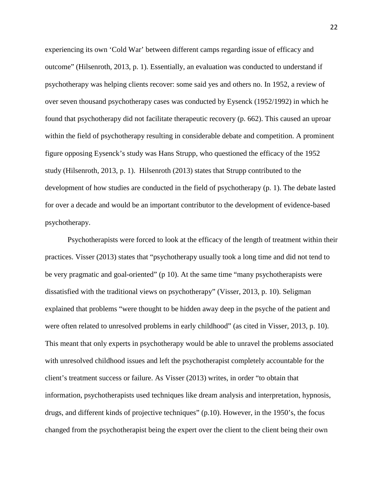experiencing its own 'Cold War' between different camps regarding issue of efficacy and outcome" (Hilsenroth, 2013, p. 1). Essentially, an evaluation was conducted to understand if psychotherapy was helping clients recover: some said yes and others no. In 1952, a review of over seven thousand psychotherapy cases was conducted by Eysenck (1952/1992) in which he found that psychotherapy did not facilitate therapeutic recovery (p. 662). This caused an uproar within the field of psychotherapy resulting in considerable debate and competition. A prominent figure opposing Eysenck's study was Hans Strupp, who questioned the efficacy of the 1952 study (Hilsenroth, 2013, p. 1). Hilsenroth (2013) states that Strupp contributed to the development of how studies are conducted in the field of psychotherapy (p. 1). The debate lasted for over a decade and would be an important contributor to the development of evidence-based psychotherapy.

Psychotherapists were forced to look at the efficacy of the length of treatment within their practices. Visser (2013) states that "psychotherapy usually took a long time and did not tend to be very pragmatic and goal-oriented" (p 10). At the same time "many psychotherapists were dissatisfied with the traditional views on psychotherapy" (Visser, 2013, p. 10). Seligman explained that problems "were thought to be hidden away deep in the psyche of the patient and were often related to unresolved problems in early childhood" (as cited in Visser, 2013, p. 10). This meant that only experts in psychotherapy would be able to unravel the problems associated with unresolved childhood issues and left the psychotherapist completely accountable for the client's treatment success or failure. As Visser (2013) writes, in order "to obtain that information, psychotherapists used techniques like dream analysis and interpretation, hypnosis, drugs, and different kinds of projective techniques" (p.10). However, in the 1950's, the focus changed from the psychotherapist being the expert over the client to the client being their own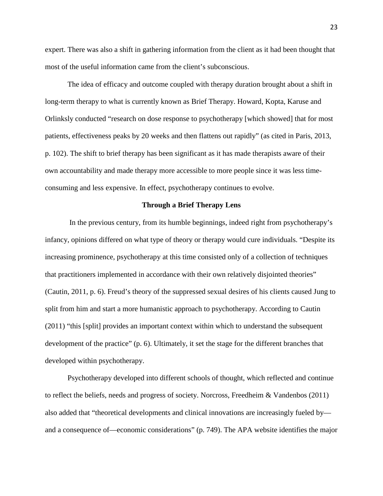expert. There was also a shift in gathering information from the client as it had been thought that most of the useful information came from the client's subconscious.

The idea of efficacy and outcome coupled with therapy duration brought about a shift in long-term therapy to what is currently known as Brief Therapy. Howard, Kopta, Karuse and Orlinksly conducted "research on dose response to psychotherapy [which showed] that for most patients, effectiveness peaks by 20 weeks and then flattens out rapidly" (as cited in Paris, 2013, p. 102). The shift to brief therapy has been significant as it has made therapists aware of their own accountability and made therapy more accessible to more people since it was less timeconsuming and less expensive. In effect, psychotherapy continues to evolve.

## **Through a Brief Therapy Lens**

In the previous century, from its humble beginnings, indeed right from psychotherapy's infancy, opinions differed on what type of theory or therapy would cure individuals. "Despite its increasing prominence, psychotherapy at this time consisted only of a collection of techniques that practitioners implemented in accordance with their own relatively disjointed theories" (Cautin, 2011, p. 6). Freud's theory of the suppressed sexual desires of his clients caused Jung to split from him and start a more humanistic approach to psychotherapy. According to Cautin (2011) "this [split] provides an important context within which to understand the subsequent development of the practice" (p. 6). Ultimately, it set the stage for the different branches that developed within psychotherapy.

Psychotherapy developed into different schools of thought, which reflected and continue to reflect the beliefs, needs and progress of society. Norcross, Freedheim & Vandenbos (2011) also added that "theoretical developments and clinical innovations are increasingly fueled by and a consequence of—economic considerations" (p. 749). The APA website identifies the major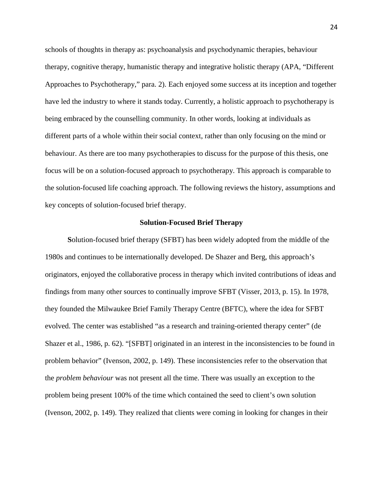schools of thoughts in therapy as: psychoanalysis and psychodynamic therapies, behaviour therapy, cognitive therapy, humanistic therapy and integrative holistic therapy (APA, "Different Approaches to Psychotherapy," para. 2). Each enjoyed some success at its inception and together have led the industry to where it stands today. Currently, a holistic approach to psychotherapy is being embraced by the counselling community. In other words, looking at individuals as different parts of a whole within their social context, rather than only focusing on the mind or behaviour. As there are too many psychotherapies to discuss for the purpose of this thesis, one focus will be on a solution-focused approach to psychotherapy. This approach is comparable to the solution-focused life coaching approach. The following reviews the history, assumptions and key concepts of solution-focused brief therapy.

### **Solution-Focused Brief Therapy**

**S**olution-focused brief therapy (SFBT) has been widely adopted from the middle of the 1980s and continues to be internationally developed. De Shazer and Berg, this approach's originators, enjoyed the collaborative process in therapy which invited contributions of ideas and findings from many other sources to continually improve SFBT (Visser, 2013, p. 15). In 1978, they founded the Milwaukee Brief Family Therapy Centre (BFTC), where the idea for SFBT evolved. The center was established "as a research and training-oriented therapy center" (de Shazer et al., 1986, p. 62). "[SFBT] originated in an interest in the inconsistencies to be found in problem behavior" (Ivenson, 2002, p. 149). These inconsistencies refer to the observation that the *problem behaviour* was not present all the time. There was usually an exception to the problem being present 100% of the time which contained the seed to client's own solution (Ivenson, 2002, p. 149). They realized that clients were coming in looking for changes in their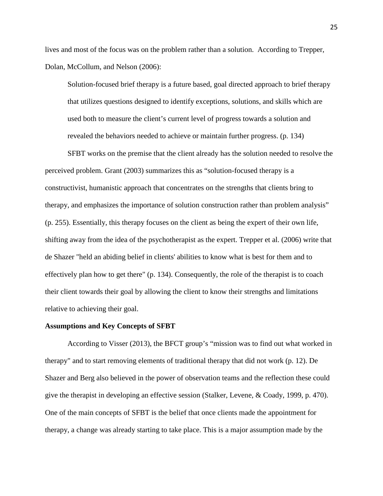lives and most of the focus was on the problem rather than a solution. According to Trepper, Dolan, McCollum, and Nelson (2006):

Solution-focused brief therapy is a future based, goal directed approach to brief therapy that utilizes questions designed to identify exceptions, solutions, and skills which are used both to measure the client's current level of progress towards a solution and revealed the behaviors needed to achieve or maintain further progress. (p. 134)

SFBT works on the premise that the client already has the solution needed to resolve the perceived problem. Grant (2003) summarizes this as "solution-focused therapy is a constructivist, humanistic approach that concentrates on the strengths that clients bring to therapy, and emphasizes the importance of solution construction rather than problem analysis" (p. 255). Essentially, this therapy focuses on the client as being the expert of their own life, shifting away from the idea of the psychotherapist as the expert. Trepper et al. (2006) write that de Shazer "held an abiding belief in clients' abilities to know what is best for them and to effectively plan how to get there" (p. 134). Consequently, the role of the therapist is to coach their client towards their goal by allowing the client to know their strengths and limitations relative to achieving their goal.

## **Assumptions and Key Concepts of SFBT**

According to Visser (2013), the BFCT group's "mission was to find out what worked in therapy" and to start removing elements of traditional therapy that did not work (p. 12). De Shazer and Berg also believed in the power of observation teams and the reflection these could give the therapist in developing an effective session (Stalker, Levene, & Coady, 1999, p. 470). One of the main concepts of SFBT is the belief that once clients made the appointment for therapy, a change was already starting to take place. This is a major assumption made by the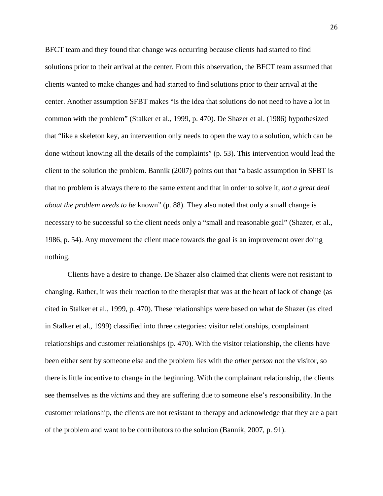BFCT team and they found that change was occurring because clients had started to find solutions prior to their arrival at the center. From this observation, the BFCT team assumed that clients wanted to make changes and had started to find solutions prior to their arrival at the center. Another assumption SFBT makes "is the idea that solutions do not need to have a lot in common with the problem" (Stalker et al., 1999, p. 470). De Shazer et al. (1986) hypothesized that "like a skeleton key, an intervention only needs to open the way to a solution, which can be done without knowing all the details of the complaints" (p. 53). This intervention would lead the client to the solution the problem. Bannik (2007) points out that "a basic assumption in SFBT is that no problem is always there to the same extent and that in order to solve it, *not a great deal about the problem needs to be* known" (p. 88). They also noted that only a small change is necessary to be successful so the client needs only a "small and reasonable goal" (Shazer, et al., 1986, p. 54). Any movement the client made towards the goal is an improvement over doing nothing.

Clients have a desire to change. De Shazer also claimed that clients were not resistant to changing. Rather, it was their reaction to the therapist that was at the heart of lack of change (as cited in Stalker et al., 1999, p. 470). These relationships were based on what de Shazer (as cited in Stalker et al., 1999) classified into three categories: visitor relationships, complainant relationships and customer relationships (p. 470). With the visitor relationship, the clients have been either sent by someone else and the problem lies with the *other person* not the visitor, so there is little incentive to change in the beginning. With the complainant relationship, the clients see themselves as the *victims* and they are suffering due to someone else's responsibility. In the customer relationship, the clients are not resistant to therapy and acknowledge that they are a part of the problem and want to be contributors to the solution (Bannik, 2007, p. 91).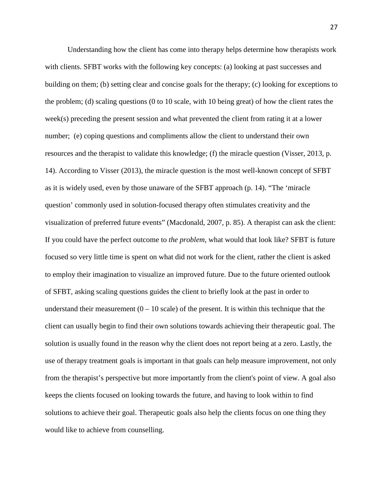Understanding how the client has come into therapy helps determine how therapists work with clients. SFBT works with the following key concepts: (a) looking at past successes and building on them; (b) setting clear and concise goals for the therapy; (c) looking for exceptions to the problem; (d) scaling questions (0 to 10 scale, with 10 being great) of how the client rates the week(s) preceding the present session and what prevented the client from rating it at a lower number; (e) coping questions and compliments allow the client to understand their own resources and the therapist to validate this knowledge; (f) the miracle question (Visser, 2013, p. 14). According to Visser (2013), the miracle question is the most well-known concept of SFBT as it is widely used, even by those unaware of the SFBT approach (p. 14). "The 'miracle question' commonly used in solution-focused therapy often stimulates creativity and the visualization of preferred future events" (Macdonald, 2007, p. 85). A therapist can ask the client: If you could have the perfect outcome to *the problem,* what would that look like? SFBT is future focused so very little time is spent on what did not work for the client, rather the client is asked to employ their imagination to visualize an improved future. Due to the future oriented outlook of SFBT, asking scaling questions guides the client to briefly look at the past in order to understand their measurement  $(0 - 10)$  scale) of the present. It is within this technique that the client can usually begin to find their own solutions towards achieving their therapeutic goal. The solution is usually found in the reason why the client does not report being at a zero. Lastly, the use of therapy treatment goals is important in that goals can help measure improvement, not only from the therapist's perspective but more importantly from the client's point of view. A goal also keeps the clients focused on looking towards the future, and having to look within to find solutions to achieve their goal. Therapeutic goals also help the clients focus on one thing they would like to achieve from counselling.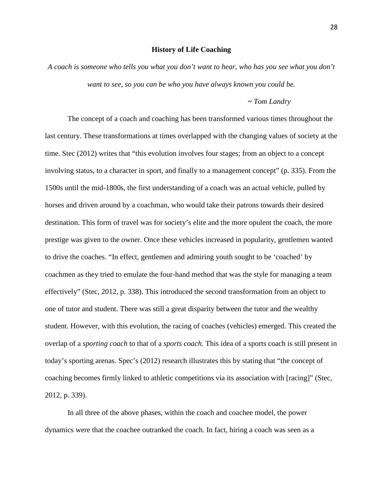#### **History of Life Coaching**

*A coach is someone who tells you what you don't want to hear, who has you see what you don't want to see, so you can be who you have always known you could be.*

## *~ Tom Landry*

The concept of a coach and coaching has been transformed various times throughout the last century. These transformations at times overlapped with the changing values of society at the time. Stec (2012) writes that "this evolution involves four stages; from an object to a concept involving status, to a character in sport, and finally to a management concept" (p. 335). From the 1500s until the mid-1800s, the first understanding of a coach was an actual vehicle, pulled by horses and driven around by a coachman, who would take their patrons towards their desired destination. This form of travel was for society's elite and the more opulent the coach, the more prestige was given to the owner. Once these vehicles increased in popularity, gentlemen wanted to drive the coaches. "In effect, gentlemen and admiring youth sought to be 'coached' by coachmen as they tried to emulate the four-hand method that was the style for managing a team effectively" (Stec, 2012, p. 338). This introduced the second transformation from an object to one of tutor and student. There was still a great disparity between the tutor and the wealthy student. However, with this evolution, the racing of coaches (vehicles) emerged. This created the overlap of a *sporting coach* to that of a *sports coach.* This idea of a sports coach is still present in today's sporting arenas. Spec's (2012) research illustrates this by stating that "the concept of coaching becomes firmly linked to athletic competitions via its association with [racing]" (Stec, 2012, p. 339).

In all three of the above phases, within the coach and coachee model, the power dynamics were that the coachee outranked the coach. In fact, hiring a coach was seen as a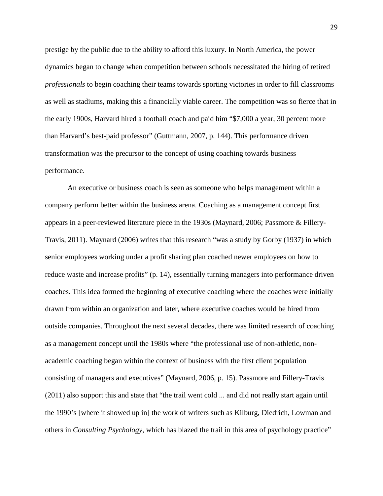prestige by the public due to the ability to afford this luxury. In North America, the power dynamics began to change when competition between schools necessitated the hiring of retired *professionals* to begin coaching their teams towards sporting victories in order to fill classrooms as well as stadiums, making this a financially viable career. The competition was so fierce that in the early 1900s, Harvard hired a football coach and paid him "\$7,000 a year, 30 percent more than Harvard's best-paid professor" (Guttmann, 2007, p. 144). This performance driven transformation was the precursor to the concept of using coaching towards business performance.

An executive or business coach is seen as someone who helps management within a company perform better within the business arena. Coaching as a management concept first appears in a peer-reviewed literature piece in the 1930s (Maynard, 2006; Passmore & Fillery-Travis, 2011). Maynard (2006) writes that this research "was a study by Gorby (1937) in which senior employees working under a profit sharing plan coached newer employees on how to reduce waste and increase profits" (p. 14), essentially turning managers into performance driven coaches. This idea formed the beginning of executive coaching where the coaches were initially drawn from within an organization and later, where executive coaches would be hired from outside companies. Throughout the next several decades, there was limited research of coaching as a management concept until the 1980s where "the professional use of non-athletic, nonacademic coaching began within the context of business with the first client population consisting of managers and executives" (Maynard, 2006, p. 15). Passmore and Fillery-Travis (2011) also support this and state that "the trail went cold ... and did not really start again until the 1990's [where it showed up in] the work of writers such as Kilburg, Diedrich, Lowman and others in *Consulting Psychology*, which has blazed the trail in this area of psychology practice"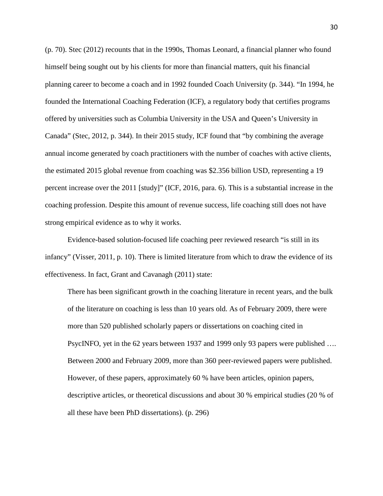(p. 70). Stec (2012) recounts that in the 1990s, Thomas Leonard, a financial planner who found himself being sought out by his clients for more than financial matters, quit his financial planning career to become a coach and in 1992 founded Coach University (p. 344). "In 1994, he founded the International Coaching Federation (ICF), a regulatory body that certifies programs offered by universities such as Columbia University in the USA and Queen's University in Canada" (Stec, 2012, p. 344). In their 2015 study, ICF found that "by combining the average annual income generated by coach practitioners with the number of coaches with active clients, the estimated 2015 global revenue from coaching was \$2.356 billion USD, representing a 19 percent increase over the 2011 [study]" (ICF, 2016, para. 6). This is a substantial increase in the coaching profession. Despite this amount of revenue success, life coaching still does not have strong empirical evidence as to why it works.

Evidence-based solution-focused life coaching peer reviewed research "is still in its infancy" (Visser, 2011, p. 10). There is limited literature from which to draw the evidence of its effectiveness. In fact, Grant and Cavanagh (2011) state:

There has been significant growth in the coaching literature in recent years, and the bulk of the literature on coaching is less than 10 years old. As of February 2009, there were more than 520 published scholarly papers or dissertations on coaching cited in PsycINFO, yet in the 62 years between 1937 and 1999 only 93 papers were published …. Between 2000 and February 2009, more than 360 peer-reviewed papers were published. However, of these papers, approximately 60 % have been articles, opinion papers, descriptive articles, or theoretical discussions and about 30 % empirical studies (20 % of all these have been PhD dissertations). (p. 296)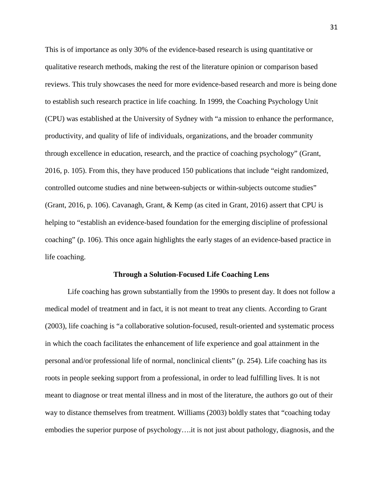This is of importance as only 30% of the evidence-based research is using quantitative or qualitative research methods, making the rest of the literature opinion or comparison based reviews. This truly showcases the need for more evidence-based research and more is being done to establish such research practice in life coaching. In 1999, the Coaching Psychology Unit (CPU) was established at the University of Sydney with "a mission to enhance the performance, productivity, and quality of life of individuals, organizations, and the broader community through excellence in education, research, and the practice of coaching psychology" (Grant, 2016, p. 105). From this, they have produced 150 publications that include "eight randomized, controlled outcome studies and nine between-subjects or within-subjects outcome studies" (Grant, 2016, p. 106). Cavanagh, Grant, & Kemp (as cited in Grant, 2016) assert that CPU is helping to "establish an evidence-based foundation for the emerging discipline of professional coaching" (p. 106). This once again highlights the early stages of an evidence-based practice in life coaching.

#### **Through a Solution-Focused Life Coaching Lens**

Life coaching has grown substantially from the 1990s to present day. It does not follow a medical model of treatment and in fact, it is not meant to treat any clients. According to Grant (2003), life coaching is "a collaborative solution-focused, result-oriented and systematic process in which the coach facilitates the enhancement of life experience and goal attainment in the personal and/or professional life of normal, nonclinical clients" (p. 254). Life coaching has its roots in people seeking support from a professional, in order to lead fulfilling lives. It is not meant to diagnose or treat mental illness and in most of the literature, the authors go out of their way to distance themselves from treatment. Williams (2003) boldly states that "coaching today embodies the superior purpose of psychology….it is not just about pathology, diagnosis, and the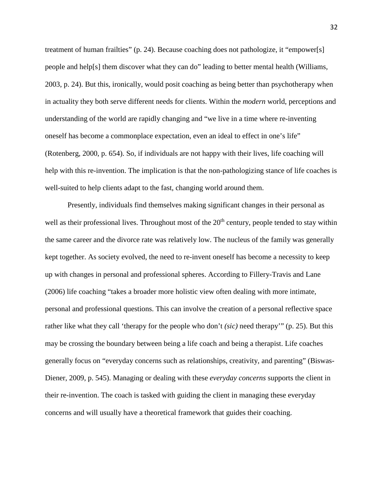treatment of human frailties" (p. 24). Because coaching does not pathologize, it "empower[s] people and help[s] them discover what they can do" leading to better mental health (Williams, 2003, p. 24). But this, ironically, would posit coaching as being better than psychotherapy when in actuality they both serve different needs for clients. Within the *modern* world, perceptions and understanding of the world are rapidly changing and "we live in a time where re-inventing oneself has become a commonplace expectation, even an ideal to effect in one's life" (Rotenberg, 2000, p. 654). So, if individuals are not happy with their lives, life coaching will help with this re-invention. The implication is that the non-pathologizing stance of life coaches is well-suited to help clients adapt to the fast, changing world around them.

Presently, individuals find themselves making significant changes in their personal as well as their professional lives. Throughout most of the  $20<sup>th</sup>$  century, people tended to stay within the same career and the divorce rate was relatively low. The nucleus of the family was generally kept together. As society evolved, the need to re-invent oneself has become a necessity to keep up with changes in personal and professional spheres. According to Fillery-Travis and Lane (2006) life coaching "takes a broader more holistic view often dealing with more intimate, personal and professional questions. This can involve the creation of a personal reflective space rather like what they call 'therapy for the people who don't *(sic)* need therapy'" (p. 25). But this may be crossing the boundary between being a life coach and being a therapist. Life coaches generally focus on "everyday concerns such as relationships, creativity, and parenting" (Biswas-Diener, 2009, p. 545). Managing or dealing with these *everyday concerns* supports the client in their re-invention. The coach is tasked with guiding the client in managing these everyday concerns and will usually have a theoretical framework that guides their coaching.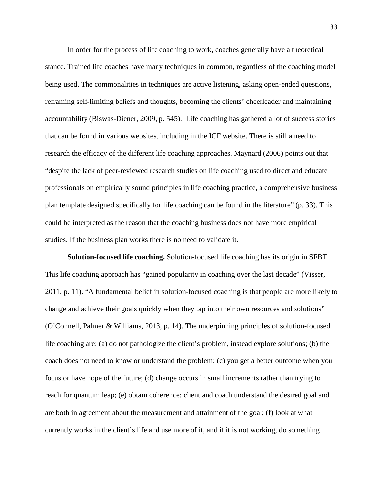In order for the process of life coaching to work, coaches generally have a theoretical stance. Trained life coaches have many techniques in common, regardless of the coaching model being used. The commonalities in techniques are active listening, asking open-ended questions, reframing self-limiting beliefs and thoughts, becoming the clients' cheerleader and maintaining accountability (Biswas-Diener, 2009, p. 545). Life coaching has gathered a lot of success stories that can be found in various websites, including in the ICF website. There is still a need to research the efficacy of the different life coaching approaches. Maynard (2006) points out that "despite the lack of peer-reviewed research studies on life coaching used to direct and educate professionals on empirically sound principles in life coaching practice, a comprehensive business plan template designed specifically for life coaching can be found in the literature" (p. 33). This could be interpreted as the reason that the coaching business does not have more empirical studies. If the business plan works there is no need to validate it.

**Solution-focused life coaching.** Solution-focused life coaching has its origin in SFBT. This life coaching approach has "gained popularity in coaching over the last decade" (Visser, 2011, p. 11). "A fundamental belief in solution-focused coaching is that people are more likely to change and achieve their goals quickly when they tap into their own resources and solutions" (O'Connell, Palmer & Williams, 2013, p. 14). The underpinning principles of solution-focused life coaching are: (a) do not pathologize the client's problem, instead explore solutions; (b) the coach does not need to know or understand the problem; (c) you get a better outcome when you focus or have hope of the future; (d) change occurs in small increments rather than trying to reach for quantum leap; (e) obtain coherence: client and coach understand the desired goal and are both in agreement about the measurement and attainment of the goal; (f) look at what currently works in the client's life and use more of it, and if it is not working, do something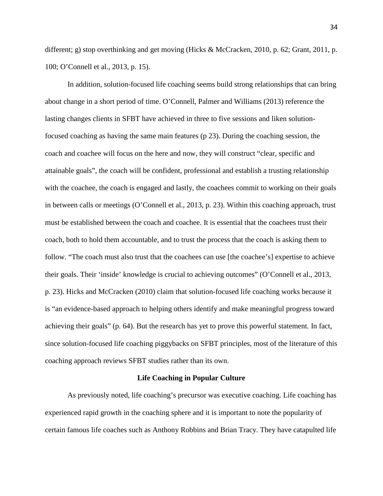different; g) stop overthinking and get moving (Hicks & McCracken, 2010, p. 62; Grant, 2011, p. 100; O'Connell et al., 2013, p. 15).

In addition, solution-focused life coaching seems build strong relationships that can bring about change in a short period of time. O'Connell, Palmer and Williams (2013) reference the lasting changes clients in SFBT have achieved in three to five sessions and liken solutionfocused coaching as having the same main features (p 23). During the coaching session, the coach and coachee will focus on the here and now, they will construct "clear, specific and attainable goals", the coach will be confident, professional and establish a trusting relationship with the coachee, the coach is engaged and lastly, the coachees commit to working on their goals in between calls or meetings (O'Connell et al., 2013, p. 23). Within this coaching approach, trust must be established between the coach and coachee. It is essential that the coachees trust their coach, both to hold them accountable, and to trust the process that the coach is asking them to follow. "The coach must also trust that the coachees can use [the coachee's] expertise to achieve their goals. Their 'inside' knowledge is crucial to achieving outcomes" (O'Connell et al., 2013, p. 23). Hicks and McCracken (2010) claim that solution-focused life coaching works because it is "an evidence-based approach to helping others identify and make meaningful progress toward achieving their goals" (p. 64). But the research has yet to prove this powerful statement. In fact, since solution-focused life coaching piggybacks on SFBT principles, most of the literature of this coaching approach reviews SFBT studies rather than its own.

#### **Life Coaching in Popular Culture**

As previously noted, life coaching's precursor was executive coaching. Life coaching has experienced rapid growth in the coaching sphere and it is important to note the popularity of certain famous life coaches such as Anthony Robbins and Brian Tracy. They have catapulted life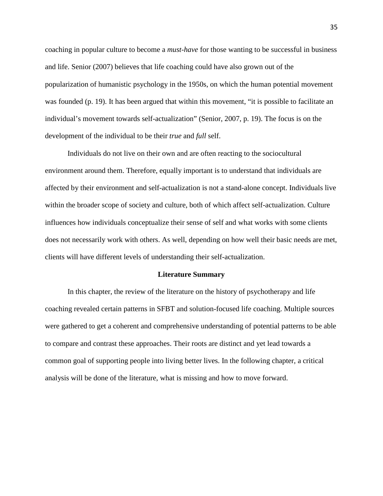coaching in popular culture to become a *must-have* for those wanting to be successful in business and life. Senior (2007) believes that life coaching could have also grown out of the popularization of humanistic psychology in the 1950s, on which the human potential movement was founded (p. 19). It has been argued that within this movement, "it is possible to facilitate an individual's movement towards self-actualization" (Senior, 2007, p. 19). The focus is on the development of the individual to be their *true* and *full* self.

Individuals do not live on their own and are often reacting to the sociocultural environment around them. Therefore, equally important is to understand that individuals are affected by their environment and self-actualization is not a stand-alone concept. Individuals live within the broader scope of society and culture, both of which affect self-actualization. Culture influences how individuals conceptualize their sense of self and what works with some clients does not necessarily work with others. As well, depending on how well their basic needs are met, clients will have different levels of understanding their self-actualization.

#### **Literature Summary**

In this chapter, the review of the literature on the history of psychotherapy and life coaching revealed certain patterns in SFBT and solution-focused life coaching. Multiple sources were gathered to get a coherent and comprehensive understanding of potential patterns to be able to compare and contrast these approaches. Their roots are distinct and yet lead towards a common goal of supporting people into living better lives. In the following chapter, a critical analysis will be done of the literature, what is missing and how to move forward.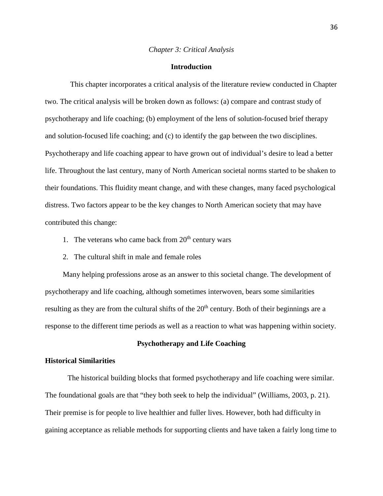#### *Chapter 3: Critical Analysis*

## **Introduction**

This chapter incorporates a critical analysis of the literature review conducted in Chapter two. The critical analysis will be broken down as follows: (a) compare and contrast study of psychotherapy and life coaching; (b) employment of the lens of solution-focused brief therapy and solution-focused life coaching; and (c) to identify the gap between the two disciplines. Psychotherapy and life coaching appear to have grown out of individual's desire to lead a better life. Throughout the last century, many of North American societal norms started to be shaken to their foundations. This fluidity meant change, and with these changes, many faced psychological distress. Two factors appear to be the key changes to North American society that may have contributed this change:

- 1. The veterans who came back from  $20<sup>th</sup>$  century wars
- 2. The cultural shift in male and female roles

Many helping professions arose as an answer to this societal change. The development of psychotherapy and life coaching, although sometimes interwoven, bears some similarities resulting as they are from the cultural shifts of the 20<sup>th</sup> century. Both of their beginnings are a response to the different time periods as well as a reaction to what was happening within society.

## **Psychotherapy and Life Coaching**

## **Historical Similarities**

The historical building blocks that formed psychotherapy and life coaching were similar. The foundational goals are that "they both seek to help the individual" (Williams, 2003, p. 21). Their premise is for people to live healthier and fuller lives. However, both had difficulty in gaining acceptance as reliable methods for supporting clients and have taken a fairly long time to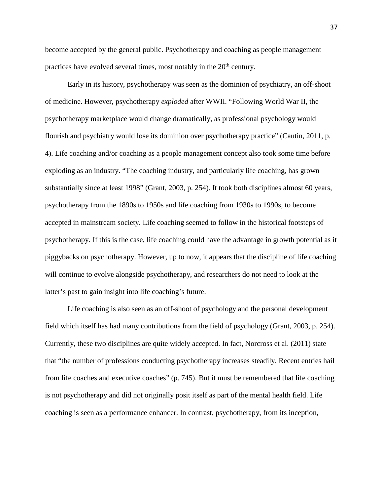become accepted by the general public. Psychotherapy and coaching as people management practices have evolved several times, most notably in the 20<sup>th</sup> century.

Early in its history, psychotherapy was seen as the dominion of psychiatry, an off-shoot of medicine. However, psychotherapy *exploded* after WWII. "Following World War II, the psychotherapy marketplace would change dramatically, as professional psychology would flourish and psychiatry would lose its dominion over psychotherapy practice" (Cautin, 2011, p. 4). Life coaching and/or coaching as a people management concept also took some time before exploding as an industry. "The coaching industry, and particularly life coaching, has grown substantially since at least 1998" (Grant, 2003, p. 254). It took both disciplines almost 60 years, psychotherapy from the 1890s to 1950s and life coaching from 1930s to 1990s, to become accepted in mainstream society. Life coaching seemed to follow in the historical footsteps of psychotherapy. If this is the case, life coaching could have the advantage in growth potential as it piggybacks on psychotherapy. However, up to now, it appears that the discipline of life coaching will continue to evolve alongside psychotherapy, and researchers do not need to look at the latter's past to gain insight into life coaching's future.

Life coaching is also seen as an off-shoot of psychology and the personal development field which itself has had many contributions from the field of psychology (Grant, 2003, p. 254). Currently, these two disciplines are quite widely accepted. In fact, Norcross et al. (2011) state that "the number of professions conducting psychotherapy increases steadily. Recent entries hail from life coaches and executive coaches" (p. 745). But it must be remembered that life coaching is not psychotherapy and did not originally posit itself as part of the mental health field. Life coaching is seen as a performance enhancer. In contrast, psychotherapy, from its inception,

37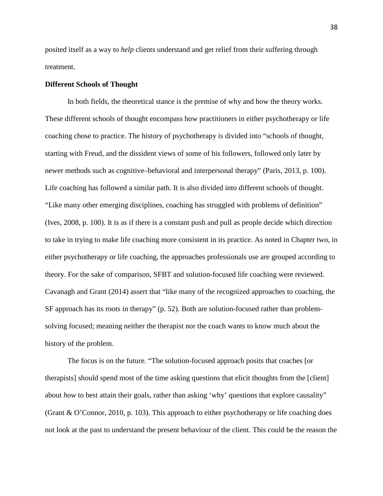posited itself as a way to *help* clients understand and get relief from their suffering through treatment.

## **Different Schools of Thought**

In both fields, the theoretical stance is the premise of why and how the theory works. These different schools of thought encompass how practitioners in either psychotherapy or life coaching chose to practice. The history of psychotherapy is divided into "schools of thought, starting with Freud, and the dissident views of some of his followers, followed only later by newer methods such as cognitive–behavioral and interpersonal therapy" (Paris, 2013, p. 100). Life coaching has followed a similar path. It is also divided into different schools of thought. "Like many other emerging disciplines, coaching has struggled with problems of definition" (Ives, 2008, p. 100). It is as if there is a constant push and pull as people decide which direction to take in trying to make life coaching more consistent in its practice. As noted in Chapter two, in either psychotherapy or life coaching, the approaches professionals use are grouped according to theory. For the sake of comparison, SFBT and solution-focused life coaching were reviewed. Cavanagh and Grant (2014) assert that "like many of the recognized approaches to coaching, the SF approach has its roots in therapy" (p. 52). Both are solution-focused rather than problemsolving focused; meaning neither the therapist nor the coach wants to know much about the history of the problem.

The focus is on the future. "The solution-focused approach posits that coaches [or therapists] should spend most of the time asking questions that elicit thoughts from the [client] about *how* to best attain their goals, rather than asking 'why' questions that explore causality" (Grant & O'Connor, 2010, p. 103). This approach to either psychotherapy or life coaching does not look at the past to understand the present behaviour of the client. This could be the reason the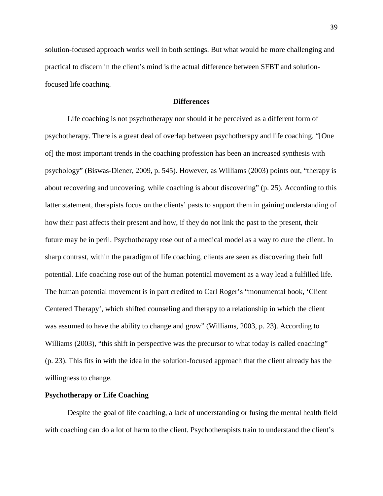solution-focused approach works well in both settings. But what would be more challenging and practical to discern in the client's mind is the actual difference between SFBT and solutionfocused life coaching.

## **Differences**

Life coaching is not psychotherapy nor should it be perceived as a different form of psychotherapy. There is a great deal of overlap between psychotherapy and life coaching. "[One of] the most important trends in the coaching profession has been an increased synthesis with psychology" (Biswas-Diener, 2009, p. 545). However, as Williams (2003) points out, "therapy is about recovering and uncovering, while coaching is about discovering" (p. 25). According to this latter statement, therapists focus on the clients' pasts to support them in gaining understanding of how their past affects their present and how, if they do not link the past to the present, their future may be in peril. Psychotherapy rose out of a medical model as a way to cure the client. In sharp contrast, within the paradigm of life coaching, clients are seen as discovering their full potential. Life coaching rose out of the human potential movement as a way lead a fulfilled life. The human potential movement is in part credited to Carl Roger's "monumental book, 'Client Centered Therapy', which shifted counseling and therapy to a relationship in which the client was assumed to have the ability to change and grow" (Williams, 2003, p. 23). According to Williams (2003), "this shift in perspective was the precursor to what today is called coaching" (p. 23). This fits in with the idea in the solution-focused approach that the client already has the willingness to change.

## **Psychotherapy or Life Coaching**

Despite the goal of life coaching, a lack of understanding or fusing the mental health field with coaching can do a lot of harm to the client. Psychotherapists train to understand the client's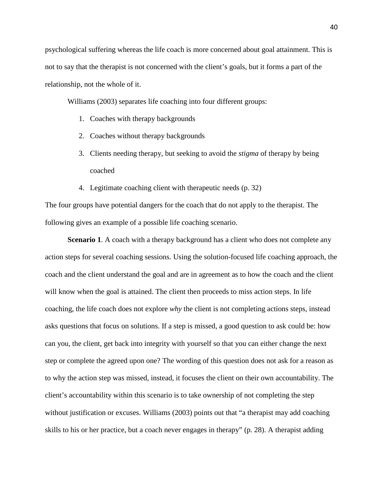psychological suffering whereas the life coach is more concerned about goal attainment. This is not to say that the therapist is not concerned with the client's goals, but it forms a part of the relationship, not the whole of it.

Williams (2003) separates life coaching into four different groups:

- 1. Coaches with therapy backgrounds
- 2. Coaches without therapy backgrounds
- 3. Clients needing therapy, but seeking to avoid the *stigma* of therapy by being coached
- 4. Legitimate coaching client with therapeutic needs (p. 32)

The four groups have potential dangers for the coach that do not apply to the therapist. The following gives an example of a possible life coaching scenario.

**Scenario 1.** A coach with a therapy background has a client who does not complete any action steps for several coaching sessions. Using the solution-focused life coaching approach, the coach and the client understand the goal and are in agreement as to how the coach and the client will know when the goal is attained. The client then proceeds to miss action steps. In life coaching, the life coach does not explore *why* the client is not completing actions steps, instead asks questions that focus on solutions. If a step is missed, a good question to ask could be: how can you, the client, get back into integrity with yourself so that you can either change the next step or complete the agreed upon one? The wording of this question does not ask for a reason as to why the action step was missed, instead, it focuses the client on their own accountability. The client's accountability within this scenario is to take ownership of not completing the step without justification or excuses. Williams (2003) points out that "a therapist may add coaching skills to his or her practice, but a coach never engages in therapy" (p. 28). A therapist adding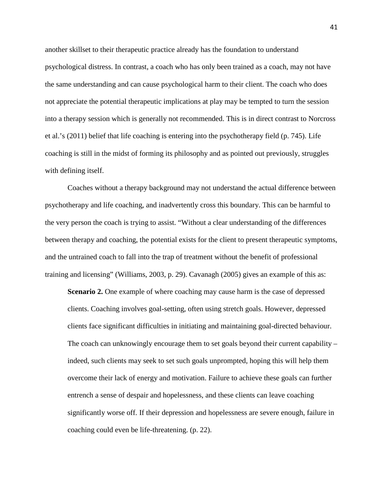another skillset to their therapeutic practice already has the foundation to understand psychological distress. In contrast, a coach who has only been trained as a coach, may not have the same understanding and can cause psychological harm to their client. The coach who does not appreciate the potential therapeutic implications at play may be tempted to turn the session into a therapy session which is generally not recommended. This is in direct contrast to Norcross et al.'s (2011) belief that life coaching is entering into the psychotherapy field (p. 745). Life coaching is still in the midst of forming its philosophy and as pointed out previously, struggles with defining itself.

Coaches without a therapy background may not understand the actual difference between psychotherapy and life coaching, and inadvertently cross this boundary. This can be harmful to the very person the coach is trying to assist. "Without a clear understanding of the differences between therapy and coaching, the potential exists for the client to present therapeutic symptoms, and the untrained coach to fall into the trap of treatment without the benefit of professional training and licensing" (Williams, 2003, p. 29). Cavanagh (2005) gives an example of this as:

**Scenario 2.** One example of where coaching may cause harm is the case of depressed clients. Coaching involves goal-setting, often using stretch goals. However, depressed clients face significant difficulties in initiating and maintaining goal-directed behaviour. The coach can unknowingly encourage them to set goals beyond their current capability – indeed, such clients may seek to set such goals unprompted, hoping this will help them overcome their lack of energy and motivation. Failure to achieve these goals can further entrench a sense of despair and hopelessness, and these clients can leave coaching significantly worse off. If their depression and hopelessness are severe enough, failure in coaching could even be life-threatening. (p. 22).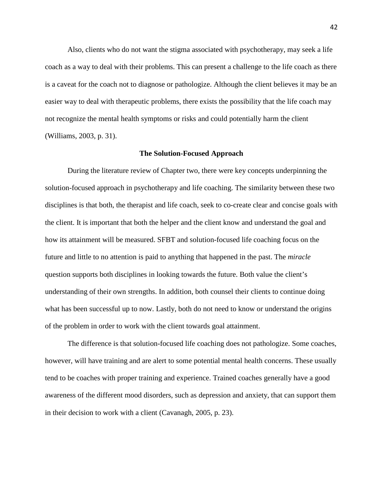Also, clients who do not want the stigma associated with psychotherapy, may seek a life coach as a way to deal with their problems. This can present a challenge to the life coach as there is a caveat for the coach not to diagnose or pathologize. Although the client believes it may be an easier way to deal with therapeutic problems, there exists the possibility that the life coach may not recognize the mental health symptoms or risks and could potentially harm the client (Williams, 2003, p. 31).

## **The Solution-Focused Approach**

During the literature review of Chapter two, there were key concepts underpinning the solution-focused approach in psychotherapy and life coaching. The similarity between these two disciplines is that both, the therapist and life coach, seek to co-create clear and concise goals with the client. It is important that both the helper and the client know and understand the goal and how its attainment will be measured. SFBT and solution-focused life coaching focus on the future and little to no attention is paid to anything that happened in the past. The *miracle* question supports both disciplines in looking towards the future. Both value the client's understanding of their own strengths. In addition, both counsel their clients to continue doing what has been successful up to now. Lastly, both do not need to know or understand the origins of the problem in order to work with the client towards goal attainment.

The difference is that solution-focused life coaching does not pathologize. Some coaches, however, will have training and are alert to some potential mental health concerns. These usually tend to be coaches with proper training and experience. Trained coaches generally have a good awareness of the different mood disorders, such as depression and anxiety, that can support them in their decision to work with a client (Cavanagh, 2005, p. 23).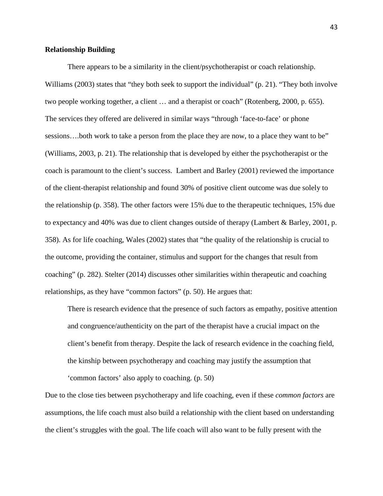### **Relationship Building**

There appears to be a similarity in the client/psychotherapist or coach relationship. Williams (2003) states that "they both seek to support the individual" (p. 21). "They both involve two people working together, a client … and a therapist or coach" (Rotenberg, 2000, p. 655). The services they offered are delivered in similar ways "through 'face-to-face' or phone sessions….both work to take a person from the place they are now, to a place they want to be" (Williams, 2003, p. 21). The relationship that is developed by either the psychotherapist or the coach is paramount to the client's success. Lambert and Barley (2001) reviewed the importance of the client-therapist relationship and found 30% of positive client outcome was due solely to the relationship (p. 358). The other factors were 15% due to the therapeutic techniques, 15% due to expectancy and 40% was due to client changes outside of therapy (Lambert & Barley, 2001, p. 358). As for life coaching, Wales (2002) states that "the quality of the relationship is crucial to the outcome, providing the container, stimulus and support for the changes that result from coaching" (p. 282). Stelter (2014) discusses other similarities within therapeutic and coaching relationships, as they have "common factors" (p. 50). He argues that:

There is research evidence that the presence of such factors as empathy, positive attention and congruence/authenticity on the part of the therapist have a crucial impact on the client's benefit from therapy. Despite the lack of research evidence in the coaching field, the kinship between psychotherapy and coaching may justify the assumption that 'common factors' also apply to coaching. (p. 50)

Due to the close ties between psychotherapy and life coaching, even if these *common factors* are assumptions, the life coach must also build a relationship with the client based on understanding the client's struggles with the goal. The life coach will also want to be fully present with the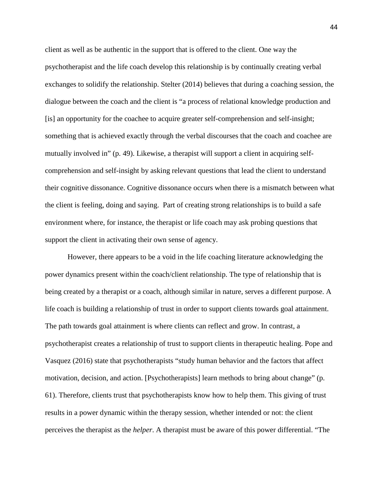client as well as be authentic in the support that is offered to the client. One way the psychotherapist and the life coach develop this relationship is by continually creating verbal exchanges to solidify the relationship. Stelter (2014) believes that during a coaching session, the dialogue between the coach and the client is "a process of relational knowledge production and [is] an opportunity for the coachee to acquire greater self-comprehension and self-insight; something that is achieved exactly through the verbal discourses that the coach and coachee are mutually involved in" (p. 49). Likewise, a therapist will support a client in acquiring selfcomprehension and self-insight by asking relevant questions that lead the client to understand their cognitive dissonance. Cognitive dissonance occurs when there is a mismatch between what the client is feeling, doing and saying. Part of creating strong relationships is to build a safe environment where, for instance, the therapist or life coach may ask probing questions that support the client in activating their own sense of agency.

However, there appears to be a void in the life coaching literature acknowledging the power dynamics present within the coach/client relationship. The type of relationship that is being created by a therapist or a coach, although similar in nature, serves a different purpose. A life coach is building a relationship of trust in order to support clients towards goal attainment. The path towards goal attainment is where clients can reflect and grow. In contrast, a psychotherapist creates a relationship of trust to support clients in therapeutic healing. Pope and Vasquez (2016) state that psychotherapists "study human behavior and the factors that affect motivation, decision, and action. [Psychotherapists] learn methods to bring about change" (p. 61). Therefore, clients trust that psychotherapists know how to help them. This giving of trust results in a power dynamic within the therapy session, whether intended or not: the client perceives the therapist as the *helper*. A therapist must be aware of this power differential. "The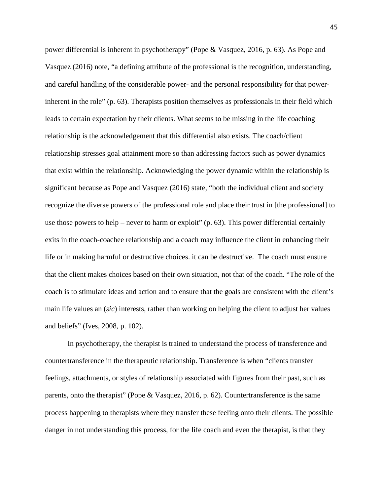power differential is inherent in psychotherapy" (Pope & Vasquez, 2016, p. 63). As Pope and Vasquez (2016) note, "a defining attribute of the professional is the recognition, understanding, and careful handling of the considerable power- and the personal responsibility for that powerinherent in the role" (p. 63). Therapists position themselves as professionals in their field which leads to certain expectation by their clients. What seems to be missing in the life coaching relationship is the acknowledgement that this differential also exists. The coach/client relationship stresses goal attainment more so than addressing factors such as power dynamics that exist within the relationship. Acknowledging the power dynamic within the relationship is significant because as Pope and Vasquez (2016) state, "both the individual client and society recognize the diverse powers of the professional role and place their trust in [the professional] to use those powers to help – never to harm or exploit"  $(p, 63)$ . This power differential certainly exits in the coach-coachee relationship and a coach may influence the client in enhancing their life or in making harmful or destructive choices. it can be destructive. The coach must ensure that the client makes choices based on their own situation, not that of the coach. "The role of the coach is to stimulate ideas and action and to ensure that the goals are consistent with the client's main life values an (*sic*) interests, rather than working on helping the client to adjust her values and beliefs" (Ives, 2008, p. 102).

In psychotherapy, the therapist is trained to understand the process of transference and countertransference in the therapeutic relationship. Transference is when "clients transfer feelings, attachments, or styles of relationship associated with figures from their past, such as parents, onto the therapist" (Pope & Vasquez, 2016, p. 62). Countertransference is the same process happening to therapists where they transfer these feeling onto their clients. The possible danger in not understanding this process, for the life coach and even the therapist, is that they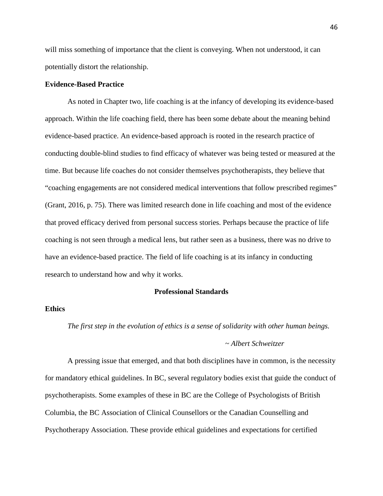will miss something of importance that the client is conveying. When not understood, it can potentially distort the relationship.

## **Evidence-Based Practice**

As noted in Chapter two, life coaching is at the infancy of developing its evidence-based approach. Within the life coaching field, there has been some debate about the meaning behind evidence-based practice. An evidence-based approach is rooted in the research practice of conducting double-blind studies to find efficacy of whatever was being tested or measured at the time. But because life coaches do not consider themselves psychotherapists, they believe that "coaching engagements are not considered medical interventions that follow prescribed regimes" (Grant, 2016, p. 75). There was limited research done in life coaching and most of the evidence that proved efficacy derived from personal success stories. Perhaps because the practice of life coaching is not seen through a medical lens, but rather seen as a business, there was no drive to have an evidence-based practice. The field of life coaching is at its infancy in conducting research to understand how and why it works.

## **Professional Standards**

## **Ethics**

*The first step in the evolution of ethics is a sense of solidarity with other human beings. ~ Albert Schweitzer*

A pressing issue that emerged, and that both disciplines have in common, is the necessity for mandatory ethical guidelines. In BC, several regulatory bodies exist that guide the conduct of psychotherapists. Some examples of these in BC are the College of Psychologists of British Columbia, the BC Association of Clinical Counsellors or the Canadian Counselling and Psychotherapy Association. These provide ethical guidelines and expectations for certified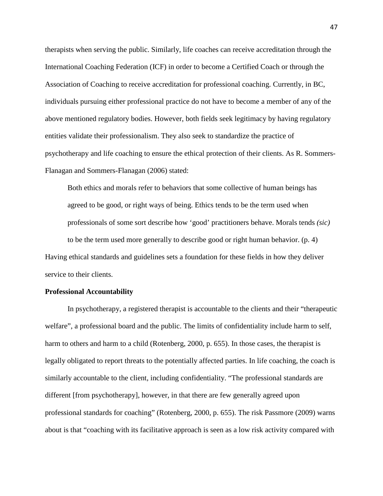therapists when serving the public. Similarly, life coaches can receive accreditation through the International Coaching Federation (ICF) in order to become a Certified Coach or through the Association of Coaching to receive accreditation for professional coaching. Currently, in BC, individuals pursuing either professional practice do not have to become a member of any of the above mentioned regulatory bodies. However, both fields seek legitimacy by having regulatory entities validate their professionalism. They also seek to standardize the practice of psychotherapy and life coaching to ensure the ethical protection of their clients. As R. Sommers-Flanagan and Sommers-Flanagan (2006) stated:

Both ethics and morals refer to behaviors that some collective of human beings has agreed to be good, or right ways of being. Ethics tends to be the term used when professionals of some sort describe how 'good' practitioners behave. Morals tends *(sic)* to be the term used more generally to describe good or right human behavior. (p. 4) Having ethical standards and guidelines sets a foundation for these fields in how they deliver service to their clients.

## **Professional Accountability**

In psychotherapy, a registered therapist is accountable to the clients and their "therapeutic welfare", a professional board and the public. The limits of confidentiality include harm to self, harm to others and harm to a child (Rotenberg, 2000, p. 655). In those cases, the therapist is legally obligated to report threats to the potentially affected parties. In life coaching, the coach is similarly accountable to the client, including confidentiality. "The professional standards are different [from psychotherapy], however, in that there are few generally agreed upon professional standards for coaching" (Rotenberg, 2000, p. 655). The risk Passmore (2009) warns about is that "coaching with its facilitative approach is seen as a low risk activity compared with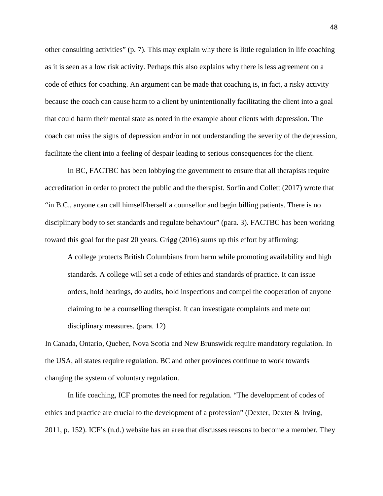other consulting activities" (p. 7). This may explain why there is little regulation in life coaching as it is seen as a low risk activity. Perhaps this also explains why there is less agreement on a code of ethics for coaching. An argument can be made that coaching is, in fact, a risky activity because the coach can cause harm to a client by unintentionally facilitating the client into a goal that could harm their mental state as noted in the example about clients with depression. The coach can miss the signs of depression and/or in not understanding the severity of the depression, facilitate the client into a feeling of despair leading to serious consequences for the client.

In BC, FACTBC has been lobbying the government to ensure that all therapists require accreditation in order to protect the public and the therapist. Sorfin and Collett (2017) wrote that "in B.C., anyone can call himself/herself a counsellor and begin billing patients. There is no disciplinary body to set standards and regulate behaviour" (para. 3). FACTBC has been working toward this goal for the past 20 years. Grigg (2016) sums up this effort by affirming:

A college protects British Columbians from harm while promoting availability and high standards. A college will set a code of ethics and standards of practice. It can issue orders, hold hearings, do audits, hold inspections and compel the cooperation of anyone claiming to be a counselling therapist. It can investigate complaints and mete out disciplinary measures. (para. 12)

In Canada, Ontario, Quebec, Nova Scotia and New Brunswick require mandatory regulation. In the USA, all states require regulation. BC and other provinces continue to work towards changing the system of voluntary regulation.

In life coaching, ICF promotes the need for regulation. "The development of codes of ethics and practice are crucial to the development of a profession" (Dexter, Dexter & Irving, 2011, p. 152). ICF's (n.d.) website has an area that discusses reasons to become a member*.* They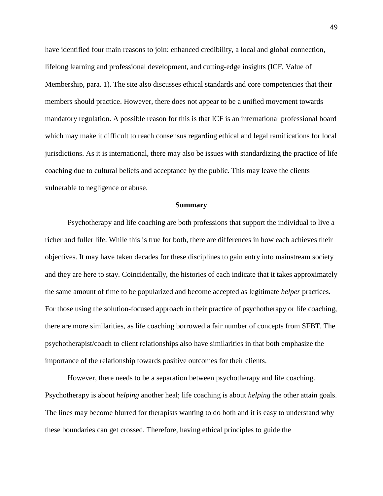have identified four main reasons to join: enhanced credibility, a local and global connection, lifelong learning and professional development, and cutting-edge insights (ICF, Value of Membership, para. 1). The site also discusses ethical standards and core competencies that their members should practice. However, there does not appear to be a unified movement towards mandatory regulation. A possible reason for this is that ICF is an international professional board which may make it difficult to reach consensus regarding ethical and legal ramifications for local jurisdictions. As it is international, there may also be issues with standardizing the practice of life coaching due to cultural beliefs and acceptance by the public. This may leave the clients vulnerable to negligence or abuse.

#### **Summary**

Psychotherapy and life coaching are both professions that support the individual to live a richer and fuller life. While this is true for both, there are differences in how each achieves their objectives. It may have taken decades for these disciplines to gain entry into mainstream society and they are here to stay. Coincidentally, the histories of each indicate that it takes approximately the same amount of time to be popularized and become accepted as legitimate *helper* practices. For those using the solution-focused approach in their practice of psychotherapy or life coaching, there are more similarities, as life coaching borrowed a fair number of concepts from SFBT. The psychotherapist/coach to client relationships also have similarities in that both emphasize the importance of the relationship towards positive outcomes for their clients.

However, there needs to be a separation between psychotherapy and life coaching. Psychotherapy is about *helping* another heal; life coaching is about *helping* the other attain goals. The lines may become blurred for therapists wanting to do both and it is easy to understand why these boundaries can get crossed. Therefore, having ethical principles to guide the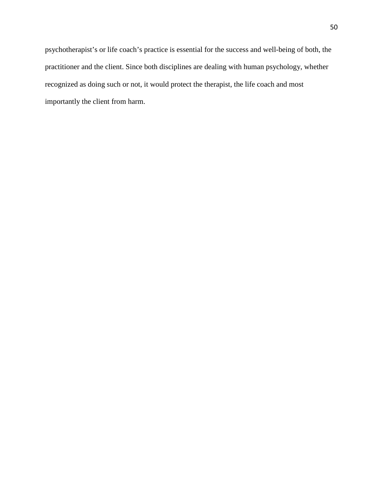psychotherapist's or life coach's practice is essential for the success and well-being of both, the practitioner and the client. Since both disciplines are dealing with human psychology, whether recognized as doing such or not, it would protect the therapist, the life coach and most importantly the client from harm.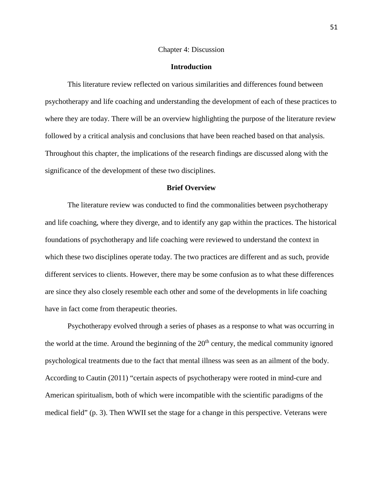#### Chapter 4: Discussion

## **Introduction**

This literature review reflected on various similarities and differences found between psychotherapy and life coaching and understanding the development of each of these practices to where they are today. There will be an overview highlighting the purpose of the literature review followed by a critical analysis and conclusions that have been reached based on that analysis. Throughout this chapter, the implications of the research findings are discussed along with the significance of the development of these two disciplines.

## **Brief Overview**

The literature review was conducted to find the commonalities between psychotherapy and life coaching, where they diverge, and to identify any gap within the practices. The historical foundations of psychotherapy and life coaching were reviewed to understand the context in which these two disciplines operate today. The two practices are different and as such, provide different services to clients. However, there may be some confusion as to what these differences are since they also closely resemble each other and some of the developments in life coaching have in fact come from therapeutic theories.

Psychotherapy evolved through a series of phases as a response to what was occurring in the world at the time. Around the beginning of the  $20<sup>th</sup>$  century, the medical community ignored psychological treatments due to the fact that mental illness was seen as an ailment of the body. According to Cautin (2011) "certain aspects of psychotherapy were rooted in mind-cure and American spiritualism, both of which were incompatible with the scientific paradigms of the medical field" (p. 3). Then WWII set the stage for a change in this perspective. Veterans were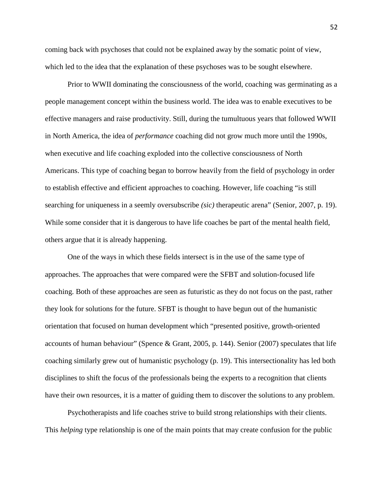coming back with psychoses that could not be explained away by the somatic point of view, which led to the idea that the explanation of these psychoses was to be sought elsewhere.

Prior to WWII dominating the consciousness of the world, coaching was germinating as a people management concept within the business world. The idea was to enable executives to be effective managers and raise productivity. Still, during the tumultuous years that followed WWII in North America, the idea of *performance* coaching did not grow much more until the 1990s, when executive and life coaching exploded into the collective consciousness of North Americans. This type of coaching began to borrow heavily from the field of psychology in order to establish effective and efficient approaches to coaching. However, life coaching "is still searching for uniqueness in a seemly oversubscribe *(sic)* therapeutic arena" (Senior, 2007, p. 19). While some consider that it is dangerous to have life coaches be part of the mental health field, others argue that it is already happening.

One of the ways in which these fields intersect is in the use of the same type of approaches. The approaches that were compared were the SFBT and solution-focused life coaching. Both of these approaches are seen as futuristic as they do not focus on the past, rather they look for solutions for the future. SFBT is thought to have begun out of the humanistic orientation that focused on human development which "presented positive, growth-oriented accounts of human behaviour" (Spence & Grant, 2005, p. 144). Senior (2007) speculates that life coaching similarly grew out of humanistic psychology (p. 19). This intersectionality has led both disciplines to shift the focus of the professionals being the experts to a recognition that clients have their own resources, it is a matter of guiding them to discover the solutions to any problem.

Psychotherapists and life coaches strive to build strong relationships with their clients. This *helping* type relationship is one of the main points that may create confusion for the public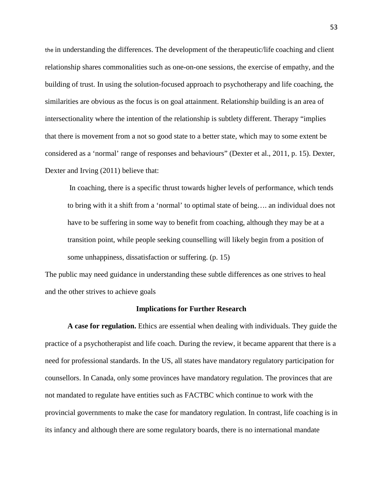the in understanding the differences. The development of the therapeutic/life coaching and client relationship shares commonalities such as one-on-one sessions, the exercise of empathy, and the building of trust. In using the solution-focused approach to psychotherapy and life coaching, the similarities are obvious as the focus is on goal attainment. Relationship building is an area of intersectionality where the intention of the relationship is subtlety different. Therapy "implies that there is movement from a not so good state to a better state, which may to some extent be considered as a 'normal' range of responses and behaviours" (Dexter et al., 2011, p. 15). Dexter, Dexter and Irving (2011) believe that:

In coaching, there is a specific thrust towards higher levels of performance, which tends to bring with it a shift from a 'normal' to optimal state of being…. an individual does not have to be suffering in some way to benefit from coaching, although they may be at a transition point, while people seeking counselling will likely begin from a position of some unhappiness, dissatisfaction or suffering. (p. 15)

The public may need guidance in understanding these subtle differences as one strives to heal and the other strives to achieve goals

#### **Implications for Further Research**

**A case for regulation.** Ethics are essential when dealing with individuals. They guide the practice of a psychotherapist and life coach. During the review, it became apparent that there is a need for professional standards. In the US, all states have mandatory regulatory participation for counsellors. In Canada, only some provinces have mandatory regulation. The provinces that are not mandated to regulate have entities such as FACTBC which continue to work with the provincial governments to make the case for mandatory regulation. In contrast, life coaching is in its infancy and although there are some regulatory boards, there is no international mandate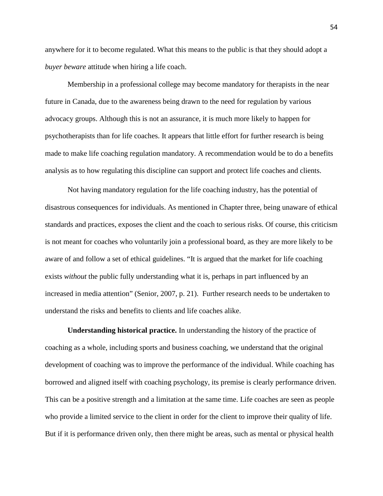anywhere for it to become regulated. What this means to the public is that they should adopt a *buyer beware* attitude when hiring a life coach.

Membership in a professional college may become mandatory for therapists in the near future in Canada, due to the awareness being drawn to the need for regulation by various advocacy groups. Although this is not an assurance, it is much more likely to happen for psychotherapists than for life coaches. It appears that little effort for further research is being made to make life coaching regulation mandatory. A recommendation would be to do a benefits analysis as to how regulating this discipline can support and protect life coaches and clients.

Not having mandatory regulation for the life coaching industry, has the potential of disastrous consequences for individuals. As mentioned in Chapter three, being unaware of ethical standards and practices, exposes the client and the coach to serious risks. Of course, this criticism is not meant for coaches who voluntarily join a professional board, as they are more likely to be aware of and follow a set of ethical guidelines. "It is argued that the market for life coaching exists *without* the public fully understanding what it is, perhaps in part influenced by an increased in media attention" (Senior, 2007, p. 21). Further research needs to be undertaken to understand the risks and benefits to clients and life coaches alike.

**Understanding historical practice.** In understanding the history of the practice of coaching as a whole, including sports and business coaching, we understand that the original development of coaching was to improve the performance of the individual. While coaching has borrowed and aligned itself with coaching psychology, its premise is clearly performance driven. This can be a positive strength and a limitation at the same time. Life coaches are seen as people who provide a limited service to the client in order for the client to improve their quality of life. But if it is performance driven only, then there might be areas, such as mental or physical health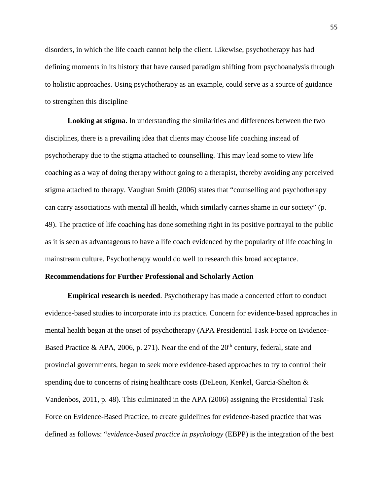disorders, in which the life coach cannot help the client. Likewise, psychotherapy has had defining moments in its history that have caused paradigm shifting from psychoanalysis through to holistic approaches. Using psychotherapy as an example, could serve as a source of guidance to strengthen this discipline

**Looking at stigma.** In understanding the similarities and differences between the two disciplines, there is a prevailing idea that clients may choose life coaching instead of psychotherapy due to the stigma attached to counselling. This may lead some to view life coaching as a way of doing therapy without going to a therapist, thereby avoiding any perceived stigma attached to therapy. Vaughan Smith (2006) states that "counselling and psychotherapy can carry associations with mental ill health, which similarly carries shame in our society" (p. 49). The practice of life coaching has done something right in its positive portrayal to the public as it is seen as advantageous to have a life coach evidenced by the popularity of life coaching in mainstream culture. Psychotherapy would do well to research this broad acceptance.

## **Recommendations for Further Professional and Scholarly Action**

**Empirical research is needed**. Psychotherapy has made a concerted effort to conduct evidence-based studies to incorporate into its practice. Concern for evidence-based approaches in mental health began at the onset of psychotherapy (APA Presidential Task Force on Evidence-Based Practice & APA, 2006, p. 271). Near the end of the  $20<sup>th</sup>$  century, federal, state and provincial governments, began to seek more evidence-based approaches to try to control their spending due to concerns of rising healthcare costs (DeLeon, Kenkel, Garcia-Shelton & Vandenbos, 2011, p. 48). This culminated in the APA (2006) assigning the Presidential Task Force on Evidence-Based Practice, to create guidelines for evidence-based practice that was defined as follows: "*evidence-based practice in psychology* (EBPP) is the integration of the best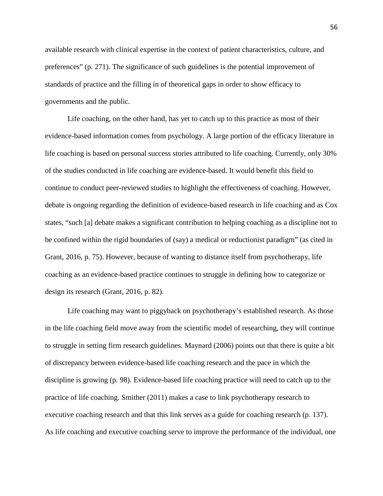available research with clinical expertise in the context of patient characteristics, culture, and preferences" (p. 271). The significance of such guidelines is the potential improvement of standards of practice and the filling in of theoretical gaps in order to show efficacy to governments and the public.

Life coaching, on the other hand, has yet to catch up to this practice as most of their evidence-based information comes from psychology. A large portion of the efficacy literature in life coaching is based on personal success stories attributed to life coaching. Currently, only 30% of the studies conducted in life coaching are evidence-based. It would benefit this field to continue to conduct peer-reviewed studies to highlight the effectiveness of coaching. However, debate is ongoing regarding the definition of evidence-based research in life coaching and as Cox states, "such [a] debate makes a significant contribution to helping coaching as a discipline not to be confined within the rigid boundaries of (say) a medical or reductionist paradigm" (as cited in Grant, 2016, p. 75). However, because of wanting to distance itself from psychotherapy, life coaching as an evidence-based practice continues to struggle in defining how to categorize or design its research (Grant, 2016, p. 82).

Life coaching may want to piggyback on psychotherapy's established research. As those in the life coaching field move away from the scientific model of researching, they will continue to struggle in setting firm research guidelines. Maynard (2006) points out that there is quite a bit of discrepancy between evidence-based life coaching research and the pace in which the discipline is growing (p. 98). Evidence-based life coaching practice will need to catch up to the practice of life coaching. Smither (2011) makes a case to link psychotherapy research to executive coaching research and that this link serves as a guide for coaching research (p. 137). As life coaching and executive coaching serve to improve the performance of the individual, one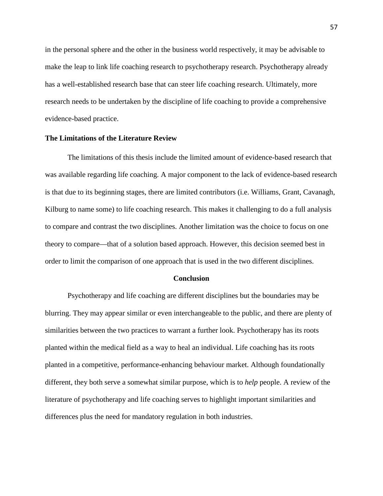in the personal sphere and the other in the business world respectively, it may be advisable to make the leap to link life coaching research to psychotherapy research. Psychotherapy already has a well-established research base that can steer life coaching research. Ultimately, more research needs to be undertaken by the discipline of life coaching to provide a comprehensive evidence-based practice.

## **The Limitations of the Literature Review**

The limitations of this thesis include the limited amount of evidence-based research that was available regarding life coaching. A major component to the lack of evidence-based research is that due to its beginning stages, there are limited contributors (i.e. Williams, Grant, Cavanagh, Kilburg to name some) to life coaching research. This makes it challenging to do a full analysis to compare and contrast the two disciplines. Another limitation was the choice to focus on one theory to compare—that of a solution based approach. However, this decision seemed best in order to limit the comparison of one approach that is used in the two different disciplines.

#### **Conclusion**

Psychotherapy and life coaching are different disciplines but the boundaries may be blurring. They may appear similar or even interchangeable to the public, and there are plenty of similarities between the two practices to warrant a further look. Psychotherapy has its roots planted within the medical field as a way to heal an individual. Life coaching has its roots planted in a competitive, performance-enhancing behaviour market. Although foundationally different, they both serve a somewhat similar purpose, which is to *help* people. A review of the literature of psychotherapy and life coaching serves to highlight important similarities and differences plus the need for mandatory regulation in both industries.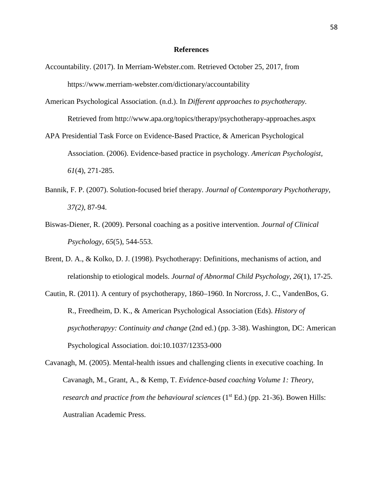### **References**

- Accountability. (2017). In Merriam-Webster.com. Retrieved October 25, 2017, from https://www.merriam-webster.com/dictionary/accountability
- American Psychological Association. (n.d.). In *Different approaches to psychotherapy.* Retrieved from http://www.apa.org/topics/therapy/psychotherapy-approaches.aspx
- APA Presidential Task Force on Evidence-Based Practice, & American Psychological Association. (2006). Evidence-based practice in psychology. *American Psychologist, 61*(4), 271-285.
- Bannik, F. P. (2007). Solution-focused brief therapy. *Journal of Contemporary Psychotherapy, 37(2)*, 87-94.
- Biswas-Diener, R. (2009). Personal coaching as a positive intervention. *Journal of Clinical Psychology*, *65*(5), 544-553.
- Brent, D. A., & Kolko, D. J. (1998). Psychotherapy: Definitions, mechanisms of action, and relationship to etiological models. *Journal of Abnormal Child Psychology*, *26*(1), 17-25.
- Cautin, R. (2011). A century of psychotherapy, 1860–1960. In Norcross, J. C., VandenBos, G. R., Freedheim, D. K., & American Psychological Association (Eds). *History of psychotherapyy: Continuity and change* (2nd ed.) (pp. 3-38). Washington, DC: American Psychological Association. doi:10.1037/12353-000
- Cavanagh, M. (2005). Mental-health issues and challenging clients in executive coaching. In Cavanagh, M., Grant, A., & Kemp, T. *Evidence-based coaching Volume 1: Theory, research and practice from the behavioural sciences* (1<sup>st</sup> Ed.) (pp. 21-36). Bowen Hills: Australian Academic Press.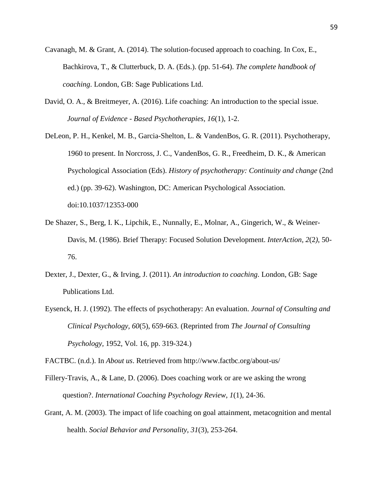- Cavanagh, M. & Grant, A. (2014). The solution-focused approach to coaching. In Cox, E., Bachkirova, T., & Clutterbuck, D. A. (Eds.). (pp. 51-64). *The complete handbook of coaching*. London, GB: Sage Publications Ltd.
- David, O. A., & Breitmeyer, A. (2016). Life coaching: An introduction to the special issue. *Journal of Evidence - Based Psychotherapies, 16*(1), 1-2.
- DeLeon, P. H., Kenkel, M. B., Garcia-Shelton, L. & VandenBos, G. R. (2011). Psychotherapy, 1960 to present. In Norcross, J. C., VandenBos, G. R., Freedheim, D. K., & American Psychological Association (Eds). *History of psychotherapy: Continuity and change* (2nd ed.) (pp. 39-62). Washington, DC: American Psychological Association. doi:10.1037/12353-000
- De Shazer, S., Berg, I. K., Lipchik, E., Nunnally, E., Molnar, A., Gingerich, W., & Weiner-Davis, M. (1986). Brief Therapy: Focused Solution Development. *InterAction, 2*(2*)*, 50- 76.
- Dexter, J., Dexter, G., & Irving, J. (2011). *An introduction to coaching*. London, GB: Sage Publications Ltd.
- Eysenck, H. J. (1992). The effects of psychotherapy: An evaluation. *Journal of Consulting and Clinical Psychology, 60*(5), 659-663. (Reprinted from *The Journal of Consulting Psychology,* 1952, Vol. 16, pp. 319-324.)

FACTBC. (n.d.). In *About us*. Retrieved from<http://www.factbc.org/about-us/>

- Fillery-Travis, A., & Lane, D. (2006). Does coaching work or are we asking the wrong question?. *International Coaching Psychology Review*, *1*(1), 24-36.
- Grant, A. M. (2003). The impact of life coaching on goal attainment, metacognition and mental health. *Social Behavior and Personality*, *31*(3), 253-264.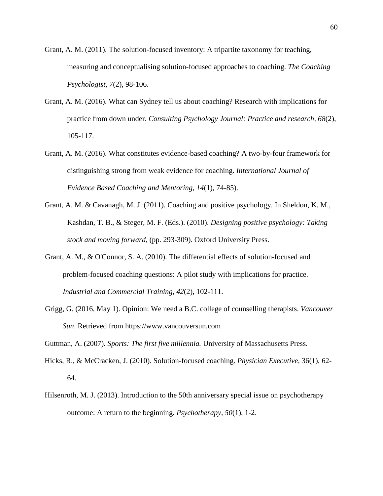- Grant, A. M. (2011). The solution-focused inventory: A tripartite taxonomy for teaching, measuring and conceptualising solution-focused approaches to coaching. *The Coaching Psychologist, 7*(2), 98-106.
- Grant, A. M. (2016). What can Sydney tell us about coaching? Research with implications for practice from down under. *Consulting Psychology Journal: Practice and research, 68*(2), 105-117.
- Grant, A. M. (2016). What constitutes evidence-based coaching? A two-by-four framework for distinguishing strong from weak evidence for coaching. *International Journal of Evidence Based Coaching and Mentoring, 14*(1), 74-85).
- Grant, A. M. & Cavanagh, M. J. (2011). Coaching and positive psychology. In Sheldon, K. M., Kashdan, T. B., & Steger, M. F. (Eds.). (2010). *Designing positive psychology: Taking stock and moving forward*, (pp. 293-309). Oxford University Press.
- Grant, A. M., & O'Connor, S. A. (2010). The differential effects of solution-focused and problem-focused coaching questions: A pilot study with implications for practice. *Industrial and Commercial Training*, *42*(2), 102-111.
- Grigg, G. (2016, May 1). Opinion: We need a B.C. college of counselling therapists. *Vancouver Sun*. Retrieved from https://www.vancouversun.com

Guttman, A. (2007). *Sports: The first five millennia.* University of Massachusetts Press.

- Hicks, R., & McCracken, J. (2010). Solution-focused coaching. *Physician Executive,* 36(1), 62- 64.
- Hilsenroth, M. J. (2013). Introduction to the 50th anniversary special issue on psychotherapy outcome: A return to the beginning. *Psychotherapy, 50*(1), 1-2.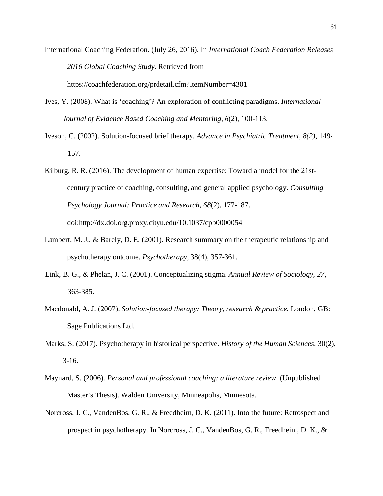- International Coaching Federation. (July 26, 2016). In *International Coach Federation Releases 2016 Global Coaching Study.* Retrieved from https://coachfederation.org/prdetail.cfm?ItemNumber=4301
- Ives, Y. (2008). What is 'coaching'? An exploration of conflicting paradigms. *International Journal of Evidence Based Coaching and Mentoring*, *6*(2), 100-113.
- Iveson, C. (2002). Solution-focused brief therapy. *Advance in Psychiatric Treatment, 8(2)*, 149- 157.
- Kilburg, R. R. (2016). The development of human expertise: Toward a model for the 21stcentury practice of coaching, consulting, and general applied psychology. *Consulting Psychology Journal: Practice and Research, 68*(2), 177-187. doi:http://dx.doi.org.proxy.cityu.edu/10.1037/cpb0000054
- Lambert, M. J., & Barely, D. E. (2001). Research summary on the therapeutic relationship and psychotherapy outcome. *Psychotherapy,* 38(4), 357-361.
- Link, B. G., & Phelan, J. C. (2001). Conceptualizing stigma. *Annual Review of Sociology, 27*, 363-385.
- Macdonald, A. J. (2007). *Solution-focused therapy: Theory, research & practice.* London, GB: Sage Publications Ltd.
- Marks, S. (2017). Psychotherapy in historical perspective. *History of the Human Sciences*, 30(2),  $3-16.$
- Maynard, S. (2006). *Personal and professional coaching: a literature review*. (Unpublished Master's Thesis). Walden University, Minneapolis, Minnesota.
- Norcross, J. C., VandenBos, G. R., & Freedheim, D. K. (2011). Into the future: Retrospect and prospect in psychotherapy. In Norcross, J. C., VandenBos, G. R., Freedheim, D. K., &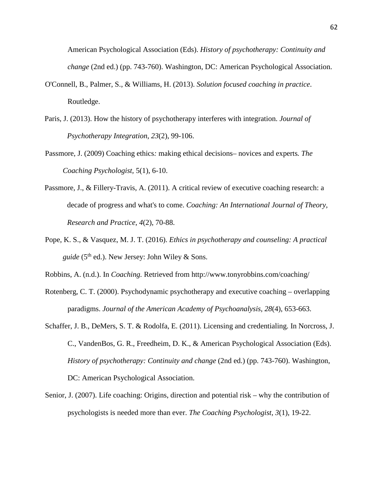American Psychological Association (Eds). *History of psychotherapy: Continuity and change* (2nd ed.) (pp. 743-760). Washington, DC: American Psychological Association.

- O'Connell, B., Palmer, S., & Williams, H. (2013). *Solution focused coaching in practice*. Routledge.
- Paris, J. (2013). How the history of psychotherapy interferes with integration. *Journal of Psychotherapy Integration*, *23*(2), 99-106.
- Passmore, J. (2009) Coaching ethics*:* making ethical decisions*–* novices and experts*. The Coaching Psychologist,* 5(1), 6-10.
- Passmore, J., & Fillery-Travis, A. (2011). A critical review of executive coaching research: a decade of progress and what's to come. *Coaching: An International Journal of Theory, Research and Practice*, *4*(2), 70-88.
- Pope, K. S., & Vasquez, M. J. T. (2016). *Ethics in psychotherapy and counseling: A practical guide* (5<sup>th</sup> ed.). New Jersey: John Wiley & Sons.
- Robbins, A. (n.d.). In *Coaching.* Retrieved from http://www.tonyrobbins.com/coaching/
- Rotenberg, C. T. (2000). Psychodynamic psychotherapy and executive coaching overlapping paradigms. *Journal of the American Academy of Psychoanalysis, 28*(4), 653-663.
- Schaffer, J. B., DeMers, S. T. & Rodolfa, E. (2011). Licensing and credentialing. In Norcross, J. C., VandenBos, G. R., Freedheim, D. K., & American Psychological Association (Eds). *History of psychotherapy: Continuity and change* (2nd ed.) (pp. 743-760). Washington, DC: American Psychological Association.
- Senior, J. (2007). Life coaching: Origins, direction and potential risk why the contribution of psychologists is needed more than ever. *The Coaching Psychologist*, *3*(1), 19-22.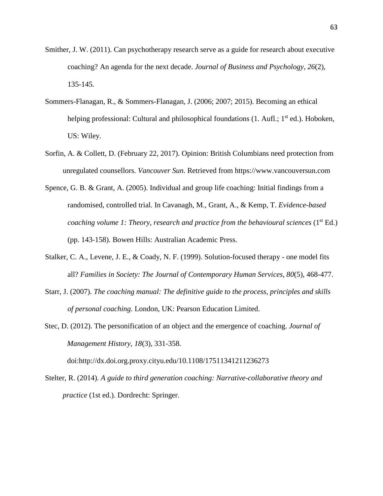- Smither, J. W. (2011). Can psychotherapy research serve as a guide for research about executive coaching? An agenda for the next decade. *Journal of Business and Psychology*, *26*(2), 135-145.
- Sommers-Flanagan, R., & Sommers-Flanagan, J. (2006; 2007; 2015). Becoming an ethical helping professional: Cultural and philosophical foundations  $(1, \text{Auff.}; 1^{\text{st}} \text{ed.})$ . Hoboken, US: Wiley.
- Sorfin, A. & Collett, D. (February 22, 2017). Opinion: British Columbians need protection from unregulated counsellors. *Vancouver Sun*. Retrieved from https://www.vancouversun.com
- Spence, G. B. & Grant, A. (2005). Individual and group life coaching: Initial findings from a randomised, controlled trial. In Cavanagh, M., Grant, A., & Kemp, T. *Evidence-based coaching volume 1: Theory, research and practice from the behavioural sciences* (1<sup>st</sup> Ed.) (pp. 143-158). Bowen Hills: Australian Academic Press.
- Stalker, C. A., Levene, J. E., & Coady, N. F. (1999). Solution-focused therapy one model fits all? *Families in Society: The Journal of Contemporary Human Services, 80*(5), 468-477.
- Starr, J. (2007). *The coaching manual: The definitive guide to the process, principles and skills of personal coaching*. London, UK: Pearson Education Limited.
- Stec, D. (2012). The personification of an object and the emergence of coaching. *Journal of Management History, 18*(3), 331-358.

doi:http://dx.doi.org.proxy.cityu.edu/10.1108/17511341211236273

Stelter, R. (2014). *A guide to third generation coaching: Narrative-collaborative theory and practice* (1st ed.). Dordrecht: Springer.